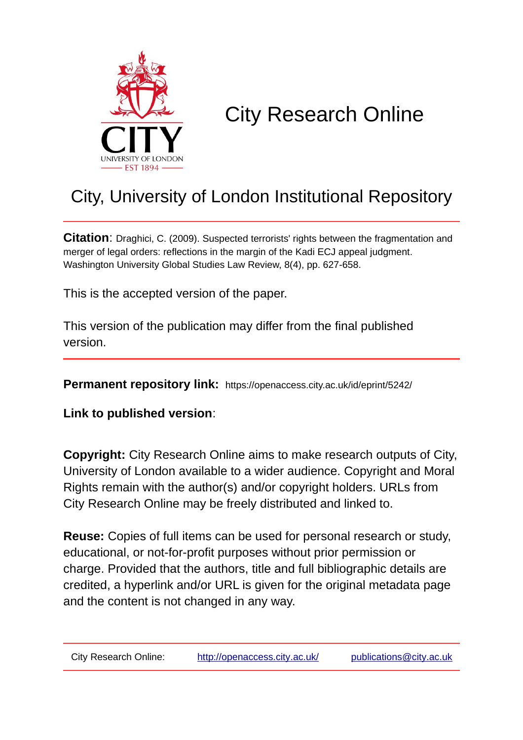

# City Research Online

## City, University of London Institutional Repository

**Citation**: Draghici, C. (2009). Suspected terrorists' rights between the fragmentation and merger of legal orders: reflections in the margin of the Kadi ECJ appeal judgment. Washington University Global Studies Law Review, 8(4), pp. 627-658.

This is the accepted version of the paper.

This version of the publication may differ from the final published version.

**Permanent repository link:** https://openaccess.city.ac.uk/id/eprint/5242/

**Link to published version**:

**Copyright:** City Research Online aims to make research outputs of City, University of London available to a wider audience. Copyright and Moral Rights remain with the author(s) and/or copyright holders. URLs from City Research Online may be freely distributed and linked to.

**Reuse:** Copies of full items can be used for personal research or study, educational, or not-for-profit purposes without prior permission or charge. Provided that the authors, title and full bibliographic details are credited, a hyperlink and/or URL is given for the original metadata page and the content is not changed in any way.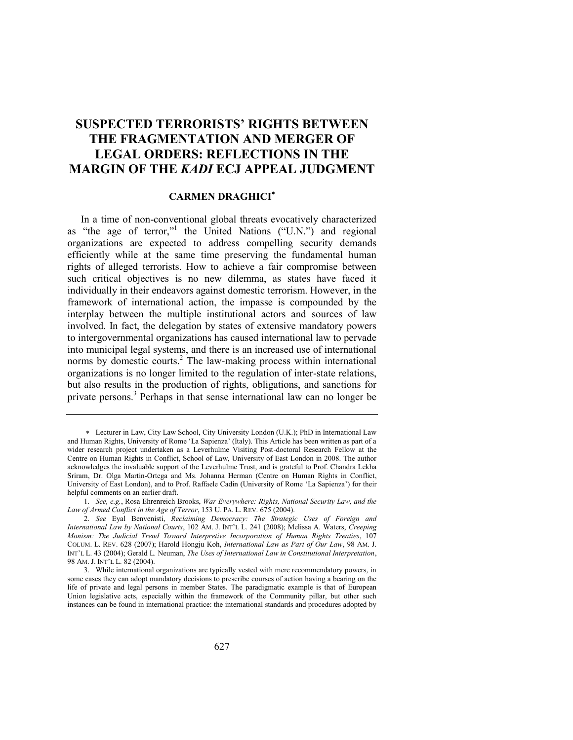### **SUSPECTED TERRORISTS' RIGHTS BETWEEN THE FRAGMENTATION AND MERGER OF LEGAL ORDERS: REFLECTIONS IN THE MARGIN OF THE** *KADI* **ECJ APPEAL JUDGMENT**

#### **CARMEN DRAGHICI**

In a time of non-conventional global threats evocatively characterized as "the age of terror," the United Nations ("U.N.") and regional organizations are expected to address compelling security demands efficiently while at the same time preserving the fundamental human rights of alleged terrorists. How to achieve a fair compromise between such critical objectives is no new dilemma, as states have faced it individually in their endeavors against domestic terrorism. However, in the framework of international action, the impasse is compounded by the interplay between the multiple institutional actors and sources of law involved. In fact, the delegation by states of extensive mandatory powers to intergovernmental organizations has caused international law to pervade into municipal legal systems, and there is an increased use of international norms by domestic courts.<sup>2</sup> The law-making process within international organizations is no longer limited to the regulation of inter-state relations, but also results in the production of rights, obligations, and sanctions for private persons.<sup>3</sup> Perhaps in that sense international law can no longer be

Lecturer in Law, City Law School, City University London (U.K.); PhD in International Law and Human Rights, University of Rome 'La Sapienza' (Italy). This Article has been written as part of a wider research project undertaken as a Leverhulme Visiting Post-doctoral Research Fellow at the Centre on Human Rights in Conflict, School of Law, University of East London in 2008. The author acknowledges the invaluable support of the Leverhulme Trust, and is grateful to Prof. Chandra Lekha Sriram, Dr. Olga Martin-Ortega and Ms. Johanna Herman (Centre on Human Rights in Conflict, University of East London), and to Prof. Raffaele Cadin (University of Rome ‗La Sapienza') for their helpful comments on an earlier draft.

<sup>1.</sup> *See, e.g.*, Rosa Ehrenreich Brooks, *War Everywhere: Rights, National Security Law, and the Law of Armed Conflict in the Age of Terror*, 153 U. PA. L. REV. 675 (2004).

<sup>2.</sup> *See* Eyal Benvenisti, *Reclaiming Democracy: The Strategic Uses of Foreign and International Law by National Courts*, 102 AM. J. INT'L L. 241 (2008); Melissa A. Waters, *Creeping Monism: The Judicial Trend Toward Interpretive Incorporation of Human Rights Treaties*, 107 COLUM. L. REV. 628 (2007); Harold Hongju Koh, *International Law as Part of Our Law*, 98 AM. J. INT'L L. 43 (2004); Gerald L. Neuman, *The Uses of International Law in Constitutional Interpretation*, 98 AM. J. INT'L L. 82 (2004).

<sup>3.</sup> While international organizations are typically vested with mere recommendatory powers, in some cases they can adopt mandatory decisions to prescribe courses of action having a bearing on the life of private and legal persons in member States. The paradigmatic example is that of European Union legislative acts, especially within the framework of the Community pillar, but other such instances can be found in international practice: the international standards and procedures adopted by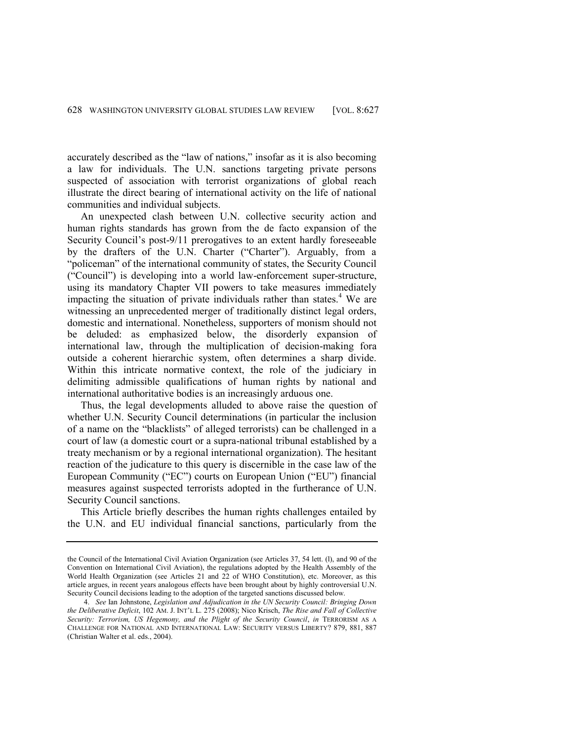accurately described as the "law of nations," insofar as it is also becoming a law for individuals. The U.N. sanctions targeting private persons suspected of association with terrorist organizations of global reach illustrate the direct bearing of international activity on the life of national communities and individual subjects.

An unexpected clash between U.N. collective security action and human rights standards has grown from the de facto expansion of the Security Council's post-9/11 prerogatives to an extent hardly foreseeable by the drafters of the U.N. Charter ("Charter"). Arguably, from a "policeman" of the international community of states, the Security Council (―Council‖) is developing into a world law-enforcement super-structure, using its mandatory Chapter VII powers to take measures immediately impacting the situation of private individuals rather than states.<sup>4</sup> We are witnessing an unprecedented merger of traditionally distinct legal orders, domestic and international. Nonetheless, supporters of monism should not be deluded: as emphasized below, the disorderly expansion of international law, through the multiplication of decision-making fora outside a coherent hierarchic system, often determines a sharp divide. Within this intricate normative context, the role of the judiciary in delimiting admissible qualifications of human rights by national and international authoritative bodies is an increasingly arduous one.

Thus, the legal developments alluded to above raise the question of whether U.N. Security Council determinations (in particular the inclusion of a name on the "blacklists" of alleged terrorists) can be challenged in a court of law (a domestic court or a supra-national tribunal established by a treaty mechanism or by a regional international organization). The hesitant reaction of the judicature to this query is discernible in the case law of the European Community ("EC") courts on European Union ("EU") financial measures against suspected terrorists adopted in the furtherance of U.N. Security Council sanctions.

This Article briefly describes the human rights challenges entailed by the U.N. and EU individual financial sanctions, particularly from the

the Council of the International Civil Aviation Organization (see Articles 37, 54 lett. (l), and 90 of the Convention on International Civil Aviation), the regulations adopted by the Health Assembly of the World Health Organization (see Articles 21 and 22 of WHO Constitution), etc. Moreover, as this article argues, in recent years analogous effects have been brought about by highly controversial U.N. Security Council decisions leading to the adoption of the targeted sanctions discussed below.

<sup>4.</sup> *See* Ian Johnstone, *Legislation and Adjudication in the UN Security Council: Bringing Down the Deliberative Deficit*, 102 AM. J. INT'L L. 275 (2008); Nico Krisch, *The Rise and Fall of Collective Security: Terrorism, US Hegemony, and the Plight of the Security Council*, *in* TERRORISM AS A CHALLENGE FOR NATIONAL AND INTERNATIONAL LAW: SECURITY VERSUS LIBERTY? 879, 881, 887 (Christian Walter et al. eds., 2004).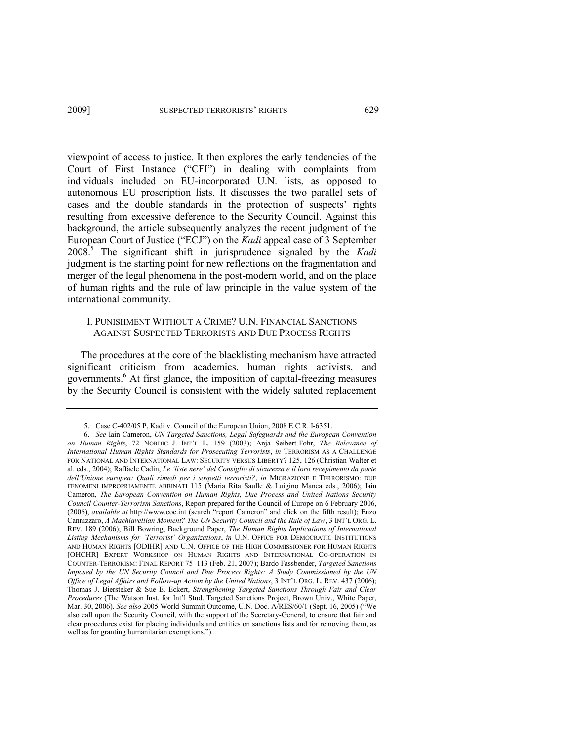viewpoint of access to justice. It then explores the early tendencies of the Court of First Instance ("CFI") in dealing with complaints from individuals included on EU-incorporated U.N. lists, as opposed to autonomous EU proscription lists. It discusses the two parallel sets of cases and the double standards in the protection of suspects' rights resulting from excessive deference to the Security Council. Against this background, the article subsequently analyzes the recent judgment of the European Court of Justice ("ECJ") on the *Kadi* appeal case of 3 September 2008.<sup>5</sup> The significant shift in jurisprudence signaled by the *Kadi* judgment is the starting point for new reflections on the fragmentation and merger of the legal phenomena in the post-modern world, and on the place of human rights and the rule of law principle in the value system of the international community.

#### I. PUNISHMENT WITHOUT A CRIME? U.N. FINANCIAL SANCTIONS AGAINST SUSPECTED TERRORISTS AND DUE PROCESS RIGHTS

<span id="page-3-0"></span>The procedures at the core of the blacklisting mechanism have attracted significant criticism from academics, human rights activists, and governments.<sup>6</sup> At first glance, the imposition of capital-freezing measures by the Security Council is consistent with the widely saluted replacement

<sup>5.</sup> Case C-402/05 P, Kadi v. Council of the European Union, 2008 E.C.R. I-6351.

<sup>6.</sup> *See* Iain Cameron, *UN Targeted Sanctions, Legal Safeguards and the European Convention on Human Rights*, 72 NORDIC J. INT'L L. 159 (2003); Anja Seibert-Fohr, *The Relevance of International Human Rights Standards for Prosecuting Terrorists*, *in* TERRORISM AS A CHALLENGE FOR NATIONAL AND INTERNATIONAL LAW: SECURITY VERSUS LIBERTY? 125, 126 (Christian Walter et al. eds., 2004); Raffaele Cadin, *Le "liste nere" del Consiglio di sicurezza e il loro recepimento da parte dell"Unione europea: Quali rimedi per i sospetti terroristi?*, *in* MIGRAZIONE E TERRORISMO: DUE FENOMENI IMPROPRIAMENTE ABBINATI 115 (Maria Rita Saulle & Luigino Manca eds., 2006); Iain Cameron, *The European Convention on Human Rights, Due Process and United Nations Security Council Counter-Terrorism Sanctions*, Report prepared for the Council of Europe on 6 February 2006, (2006), *available at* http://www.coe.int (search "report Cameron" and click on the fifth result); Enzo Cannizzaro, *A Machiavellian Moment? The UN Security Council and the Rule of Law*, 3 INT'L ORG. L. REV. 189 (2006); Bill Bowring, Background Paper, *The Human Rights Implications of International Listing Mechanisms for "Terrorist" Organizations*, *in* U.N. OFFICE FOR DEMOCRATIC INSTITUTIONS AND HUMAN RIGHTS [ODIHR] AND U.N. OFFICE OF THE HIGH COMMISSIONER FOR HUMAN RIGHTS [OHCHR] EXPERT WORKSHOP ON HUMAN RIGHTS AND INTERNATIONAL CO-OPERATION IN COUNTER-TERRORISM: FINAL REPORT 75–113 (Feb. 21, 2007); Bardo Fassbender, *Targeted Sanctions Imposed by the UN Security Council and Due Process Rights: A Study Commissioned by the UN Office of Legal Affairs and Follow-up Action by the United Nations*, 3 INT'L ORG. L. REV. 437 (2006); Thomas J. Biersteker & Sue E. Eckert, *Strengthening Targeted Sanctions Through Fair and Clear Procedures* (The Watson Inst. for Int'l Stud. Targeted Sanctions Project, Brown Univ., White Paper, Mar. 30, 2006). *See also* 2005 World Summit Outcome, U.N. Doc. A/RES/60/1 (Sept. 16, 2005) ("We also call upon the Security Council, with the support of the Secretary-General, to ensure that fair and clear procedures exist for placing individuals and entities on sanctions lists and for removing them, as well as for granting humanitarian exemptions.").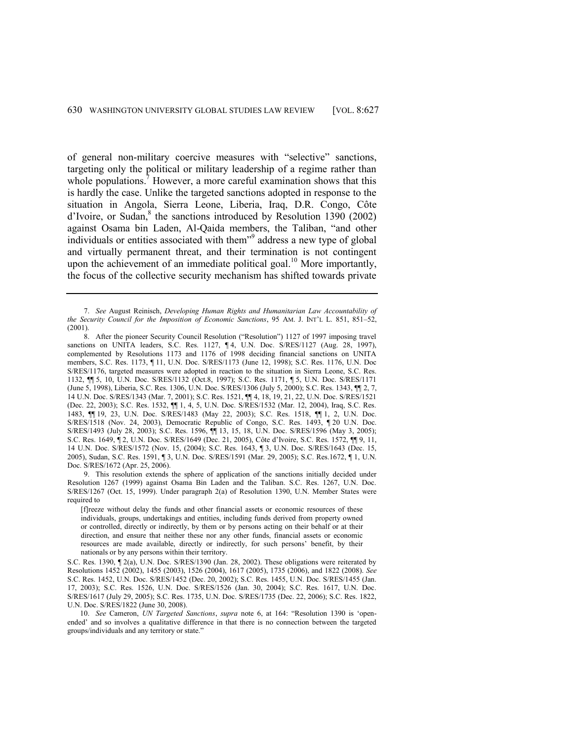of general non-military coercive measures with "selective" sanctions, targeting only the political or military leadership of a regime rather than whole populations.<sup>7</sup> However, a more careful examination shows that this is hardly the case. Unlike the targeted sanctions adopted in response to the situation in Angola, Sierra Leone, Liberia, Iraq, D.R. Congo, Côte  $d'Ivoire$ , or Sudan,<sup>8</sup> the sanctions introduced by Resolution 1390 (2002) against Osama bin Laden, Al-Qaida members, the Taliban, "and other individuals or entities associated with them<sup>39</sup> address a new type of global and virtually permanent threat, and their termination is not contingent upon the achievement of an immediate political goal.<sup>10</sup> More importantly, the focus of the collective security mechanism has shifted towards private

9. This resolution extends the sphere of application of the sanctions initially decided under Resolution 1267 (1999) against Osama Bin Laden and the Taliban. S.C. Res. 1267, U.N. Doc. S/RES/1267 (Oct. 15, 1999). Under paragraph 2(a) of Resolution 1390, U.N. Member States were required to

<sup>7.</sup> *See* August Reinisch, *Developing Human Rights and Humanitarian Law Accountability of the Security Council for the Imposition of Economic Sanctions*, 95 AM. J. INT'L L. 851, 851–52, (2001).

<sup>8.</sup> After the pioneer Security Council Resolution ("Resolution") 1127 of 1997 imposing travel sanctions on UNITA leaders, S.C. Res. 1127, ¶ 4, U.N. Doc. S/RES/1127 (Aug. 28, 1997), complemented by Resolutions 1173 and 1176 of 1998 deciding financial sanctions on UNITA members, S.C. Res. 1173, ¶ 11, U.N. Doc. S/RES/1173 (June 12, 1998); S.C. Res. 1176, U.N. Doc S/RES/1176, targeted measures were adopted in reaction to the situation in Sierra Leone, S.C. Res. 1132, ¶¶ 5, 10, U.N. Doc. S/RES/1132 (Oct.8, 1997); S.C. Res. 1171, ¶ 5, U.N. Doc. S/RES/1171 (June 5, 1998), Liberia, S.C. Res. 1306, U.N. Doc. S/RES/1306 (July 5, 2000); S.C. Res. 1343, ¶¶ 2, 7, 14 U.N. Doc. S/RES/1343 (Mar. 7, 2001); S.C. Res. 1521, ¶¶ 4, 18, 19, 21, 22, U.N. Doc. S/RES/1521 (Dec. 22, 2003); S.C. Res. 1532, ¶¶ 1, 4, 5, U.N. Doc. S/RES/1532 (Mar. 12, 2004), Iraq, S.C. Res. 1483, ¶¶ 19, 23, U.N. Doc. S/RES/1483 (May 22, 2003); S.C. Res. 1518, ¶¶ 1, 2, U.N. Doc. S/RES/1518 (Nov. 24, 2003), Democratic Republic of Congo, S.C. Res. 1493, ¶ 20 U.N. Doc. S/RES/1493 (July 28, 2003); S.C. Res. 1596, ¶¶ 13, 15, 18, U.N. Doc. S/RES/1596 (May 3, 2005); S.C. Res. 1649, ¶ 2, U.N. Doc. S/RES/1649 (Dec. 21, 2005), Côte d'Ivoire, S.C. Res. 1572, ¶¶ 9, 11, 14 U.N. Doc. S/RES/1572 (Nov. 15, (2004); S.C. Res. 1643, ¶ 3, U.N. Doc. S/RES/1643 (Dec. 15, 2005), Sudan, S.C. Res. 1591, ¶ 3, U.N. Doc. S/RES/1591 (Mar. 29, 2005); S.C. Res.1672, ¶ 1, U.N. Doc. S/RES/1672 (Apr. 25, 2006).

<sup>[</sup>f]reeze without delay the funds and other financial assets or economic resources of these individuals, groups, undertakings and entities, including funds derived from property owned or controlled, directly or indirectly, by them or by persons acting on their behalf or at their direction, and ensure that neither these nor any other funds, financial assets or economic resources are made available, directly or indirectly, for such persons' benefit, by their nationals or by any persons within their territory.

S.C. Res. 1390, ¶ 2(a), U.N. Doc. S/RES/1390 (Jan. 28, 2002). These obligations were reiterated by Resolutions 1452 (2002), 1455 (2003), 1526 (2004), 1617 (2005), 1735 (2006), and 1822 (2008). *See*  S.C. Res. 1452, U.N. Doc. S/RES/1452 (Dec. 20, 2002); S.C. Res. 1455, U.N. Doc. S/RES/1455 (Jan. 17, 2003); S.C. Res. 1526, U.N. Doc. S/RES/1526 (Jan. 30, 2004); S.C. Res. 1617, U.N. Doc. S/RES/1617 (July 29, 2005); S.C. Res. 1735, U.N. Doc. S/RES/1735 (Dec. 22, 2006); S.C. Res. 1822, U.N. Doc. S/RES/1822 (June 30, 2008).

<sup>10.</sup> *See* Cameron, *UN Targeted Sanctions*, *supra* note [6](#page-3-0), at 164: "Resolution 1390 is 'openended' and so involves a qualitative difference in that there is no connection between the targeted groups/individuals and any territory or state."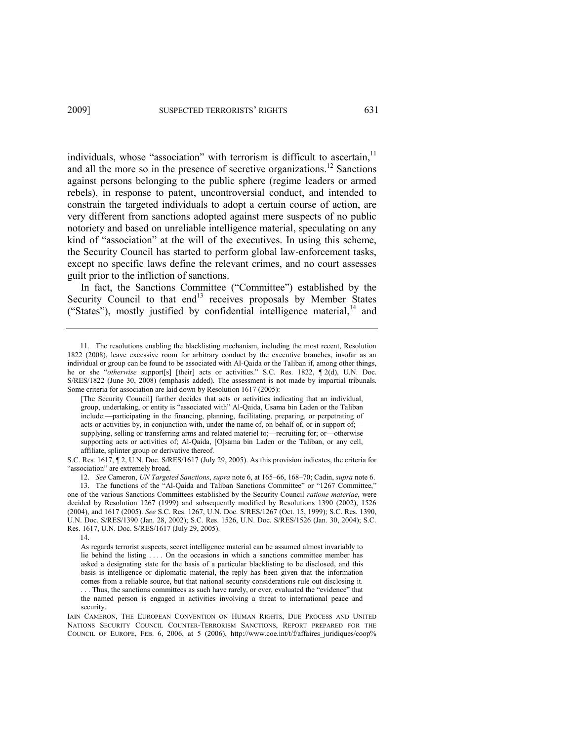individuals, whose "association" with terrorism is difficult to ascertain, $11$ and all the more so in the presence of secretive organizations.<sup>12</sup> Sanctions against persons belonging to the public sphere (regime leaders or armed rebels), in response to patent, uncontroversial conduct, and intended to constrain the targeted individuals to adopt a certain course of action, are very different from sanctions adopted against mere suspects of no public notoriety and based on unreliable intelligence material, speculating on any kind of "association" at the will of the executives. In using this scheme, the Security Council has started to perform global law-enforcement tasks, except no specific laws define the relevant crimes, and no court assesses guilt prior to the infliction of sanctions.

In fact, the Sanctions Committee ("Committee") established by the Security Council to that end<sup>13</sup> receives proposals by Member States ("States"), mostly justified by confidential intelligence material,<sup>14</sup> and

S.C. Res. 1617, ¶ 2, U.N. Doc. S/RES/1617 (July 29, 2005). As this provision indicates, the criteria for "association" are extremely broad.

12. *See* Cameron, *UN Targeted Sanctions*, *supra* note [6,](#page-3-0) at 165–66, 168–70; Cadin, *supra* not[e 6.](#page-3-0)

13. The functions of the "Al-Qaida and Taliban Sanctions Committee" or "1267 Committee," one of the various Sanctions Committees established by the Security Council *ratione materiae*, were decided by Resolution 1267 (1999) and subsequently modified by Resolutions 1390 (2002), 1526 (2004), and 1617 (2005). *See* S.C. Res. 1267, U.N. Doc. S/RES/1267 (Oct. 15, 1999); S.C. Res. 1390, U.N. Doc. S/RES/1390 (Jan. 28, 2002); S.C. Res. 1526, U.N. Doc. S/RES/1526 (Jan. 30, 2004); S.C. Res. 1617, U.N. Doc. S/RES/1617 (July 29, 2005).

14.

As regards terrorist suspects, secret intelligence material can be assumed almost invariably to lie behind the listing . . . . On the occasions in which a sanctions committee member has asked a designating state for the basis of a particular blacklisting to be disclosed, and this basis is intelligence or diplomatic material, the reply has been given that the information comes from a reliable source, but that national security considerations rule out disclosing it.  $\ldots$  Thus, the sanctions committees as such have rarely, or ever, evaluated the "evidence" that the named person is engaged in activities involving a threat to international peace and security.

IAIN CAMERON, THE EUROPEAN CONVENTION ON HUMAN RIGHTS, DUE PROCESS AND UNITED NATIONS SECURITY COUNCIL COUNTER-TERRORISM SANCTIONS, REPORT PREPARED FOR THE COUNCIL OF EUROPE, FEB. 6, 2006, at 5 (2006), http://www.coe.int/t/f/affaires juridiques/coop%

<sup>11.</sup> The resolutions enabling the blacklisting mechanism, including the most recent, Resolution 1822 (2008), leave excessive room for arbitrary conduct by the executive branches, insofar as an individual or group can be found to be associated with Al-Qaida or the Taliban if, among other things, he or she "*otherwise* support[s] [their] acts or activities." S.C. Res. 1822, ¶ 2(d), U.N. Doc. S/RES/1822 (June 30, 2008) (emphasis added). The assessment is not made by impartial tribunals. Some criteria for association are laid down by Resolution 1617 (2005):

<sup>[</sup>The Security Council] further decides that acts or activities indicating that an individual, group, undertaking, or entity is "associated with" Al-Qaida, Usama bin Laden or the Taliban include:—participating in the financing, planning, facilitating, preparing, or perpetrating of acts or activities by, in conjunction with, under the name of, on behalf of, or in support of; supplying, selling or transferring arms and related materiel to;—recruiting for; or—otherwise supporting acts or activities of; Al-Qaida, [O]sama bin Laden or the Taliban, or any cell, affiliate, splinter group or derivative thereof.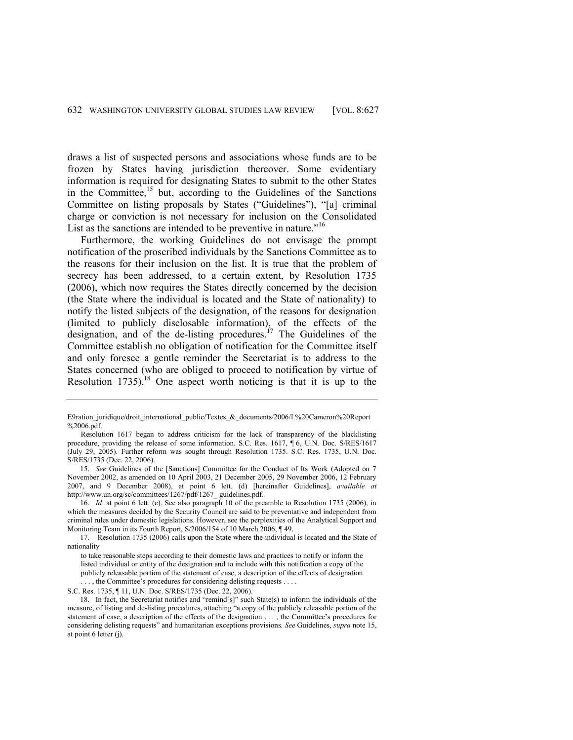<span id="page-6-0"></span>draws a list of suspected persons and associations whose funds are to be frozen by States having jurisdiction thereover. Some evidentiary information is required for designating States to submit to the other States in the Committee,<sup>15</sup> but, according to the Guidelines of the Sanctions Committee on listing proposals by States ("Guidelines"), "[a] criminal charge or conviction is not necessary for inclusion on the Consolidated List as the sanctions are intended to be preventive in nature.<sup> $16$ </sup>

Furthermore, the working Guidelines do not envisage the prompt notification of the proscribed individuals by the Sanctions Committee as to the reasons for their inclusion on the list. It is true that the problem of secrecy has been addressed, to a certain extent, by Resolution 1735 (2006), which now requires the States directly concerned by the decision (the State where the individual is located and the State of nationality) to notify the listed subjects of the designation, of the reasons for designation (limited to publicly disclosable information), of the effects of the designation, and of the de-listing procedures.<sup>17</sup> The Guidelines of the Committee establish no obligation of notification for the Committee itself and only foresee a gentle reminder the Secretariat is to address to the States concerned (who are obliged to proceed to notification by virtue of Resolution 1735).<sup>18</sup> One aspect worth noticing is that it is up to the

S.C. Res. 1735, ¶ 11, U.N. Doc. S/RES/1735 (Dec. 22, 2006).

E9ration\_juridique/droit\_international\_public/Textes\_&\_documents/2006/I.%20Cameron%20Report %2006.pdf.

Resolution 1617 began to address criticism for the lack of transparency of the blacklisting procedure, providing the release of some information. S.C. Res. 1617, ¶ 6, U.N. Doc. S/RES/1617 (July 29, 2005). Further reform was sought through Resolution 1735. S.C. Res. 1735, U.N. Doc. S/RES/1735 (Dec. 22, 2006).

<sup>15.</sup> *See* Guidelines of the [Sanctions] Committee for the Conduct of Its Work (Adopted on 7 November 2002, as amended on 10 April 2003, 21 December 2005, 29 November 2006, 12 February 2007, and 9 December 2008), at point 6 lett. (d) [hereinafter Guidelines], *available at* http://www.un.org/sc/committees/1267/pdf/1267\_guidelines.pdf.

<sup>16.</sup> *Id*. at point 6 lett. (c). See also paragraph 10 of the preamble to Resolution 1735 (2006), in which the measures decided by the Security Council are said to be preventative and independent from criminal rules under domestic legislations. However, see the perplexities of the Analytical Support and Monitoring Team in its Fourth Report, S/2006/154 of 10 March 2006, ¶ 49.

<sup>17.</sup> Resolution 1735 (2006) calls upon the State where the individual is located and the State of nationality

to take reasonable steps according to their domestic laws and practices to notify or inform the listed individual or entity of the designation and to include with this notification a copy of the publicly releasable portion of the statement of case, a description of the effects of designation

<sup>.</sup> . . , the Committee's procedures for considering delisting requests . . . .

<sup>18.</sup> In fact, the Secretariat notifies and "remind[s]" such State(s) to inform the individuals of the measure, of listing and de-listing procedures, attaching "a copy of the publicly releasable portion of the statement of case, a description of the effects of the designation . . . , the Committee's procedures for considering delisting requests" and humanitarian exceptions provisions. *See* Guidelines, *supra* note 15, at point 6 letter (j).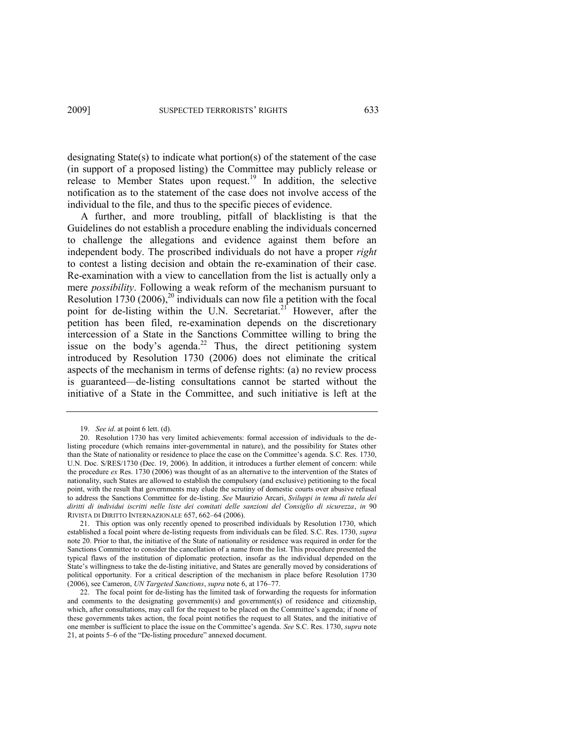designating State(s) to indicate what portion(s) of the statement of the case (in support of a proposed listing) the Committee may publicly release or release to Member States upon request.<sup>19</sup> In addition, the selective notification as to the statement of the case does not involve access of the individual to the file, and thus to the specific pieces of evidence.

<span id="page-7-1"></span><span id="page-7-0"></span>A further, and more troubling, pitfall of blacklisting is that the Guidelines do not establish a procedure enabling the individuals concerned to challenge the allegations and evidence against them before an independent body. The proscribed individuals do not have a proper *right* to contest a listing decision and obtain the re-examination of their case. Re-examination with a view to cancellation from the list is actually only a mere *possibility*. Following a weak reform of the mechanism pursuant to Resolution  $1730 (2006)$ <sup>20</sup> individuals can now file a petition with the focal point for de-listing within the U.N. Secretariat.<sup>21</sup> However, after the petition has been filed, re-examination depends on the discretionary intercession of a State in the Sanctions Committee willing to bring the issue on the body's agenda.<sup>22</sup> Thus, the direct petitioning system introduced by Resolution 1730 (2006) does not eliminate the critical aspects of the mechanism in terms of defense rights: (a) no review process is guaranteed—de-listing consultations cannot be started without the initiative of a State in the Committee, and such initiative is left at the

<sup>19.</sup> *See id*. at point 6 lett. (d).

<sup>20.</sup> Resolution 1730 has very limited achievements: formal accession of individuals to the delisting procedure (which remains inter-governmental in nature), and the possibility for States other than the State of nationality or residence to place the case on the Committee's agenda. S.C. Res. 1730, U.N. Doc. S/RES/1730 (Dec. 19, 2006). In addition, it introduces a further element of concern: while the procedure *ex* Res. 1730 (2006) was thought of as an alternative to the intervention of the States of nationality, such States are allowed to establish the compulsory (and exclusive) petitioning to the focal point, with the result that governments may elude the scrutiny of domestic courts over abusive refusal to address the Sanctions Committee for de-listing. *See* Maurizio Arcari, *Sviluppi in tema di tutela dei diritti di individui iscritti nelle liste dei comitati delle sanzioni del Consiglio di sicurezza*, *in* 90 RIVISTA DI DIRITTO INTERNAZIONALE 657, 662–64 (2006).

<sup>21.</sup> This option was only recently opened to proscribed individuals by Resolution 1730, which established a focal point where de-listing requests from individuals can be filed. S.C. Res. 1730, *supra*  note [20.](#page-7-0) Prior to that, the initiative of the State of nationality or residence was required in order for the Sanctions Committee to consider the cancellation of a name from the list. This procedure presented the typical flaws of the institution of diplomatic protection, insofar as the individual depended on the State's willingness to take the de-listing initiative, and States are generally moved by considerations of political opportunity. For a critical description of the mechanism in place before Resolution 1730 (2006), see Cameron, *UN Targeted Sanctions*, *supra* not[e 6,](#page-3-0) at 176–77.

<sup>22.</sup> The focal point for de-listing has the limited task of forwarding the requests for information and comments to the designating government(s) and government(s) of residence and citizenship, which, after consultations, may call for the request to be placed on the Committee's agenda; if none of these governments takes action, the focal point notifies the request to all States, and the initiative of one member is sufficient to place the issue on the Committee's agenda. *See* S.C. Res. 1730, *supra* note [21,](#page-7-1) at points 5–6 of the "De-listing procedure" annexed document.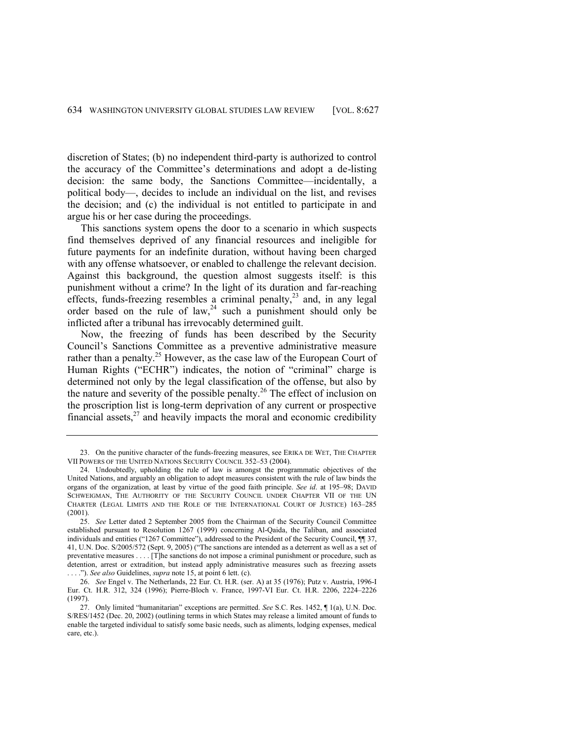discretion of States; (b) no independent third-party is authorized to control the accuracy of the Committee's determinations and adopt a de-listing decision: the same body, the Sanctions Committee—incidentally, a political body—, decides to include an individual on the list, and revises the decision; and (c) the individual is not entitled to participate in and argue his or her case during the proceedings.

This sanctions system opens the door to a scenario in which suspects find themselves deprived of any financial resources and ineligible for future payments for an indefinite duration, without having been charged with any offense whatsoever, or enabled to challenge the relevant decision. Against this background, the question almost suggests itself: is this punishment without a crime? In the light of its duration and far-reaching effects, funds-freezing resembles a criminal penalty,<sup>23</sup> and, in any legal order based on the rule of law,<sup>24</sup> such a punishment should only be inflicted after a tribunal has irrevocably determined guilt.

Now, the freezing of funds has been described by the Security Council's Sanctions Committee as a preventive administrative measure rather than a penalty.<sup>25</sup> However, as the case law of the European Court of Human Rights ("ECHR") indicates, the notion of "criminal" charge is determined not only by the legal classification of the offense, but also by the nature and severity of the possible penalty.<sup>26</sup> The effect of inclusion on the proscription list is long-term deprivation of any current or prospective financial assets, $27$  and heavily impacts the moral and economic credibility

<sup>23.</sup> On the punitive character of the funds-freezing measures, see ERIKA DE WET, THE CHAPTER VII POWERS OF THE UNITED NATIONS SECURITY COUNCIL 352–53 (2004).

<sup>24.</sup> Undoubtedly, upholding the rule of law is amongst the programmatic objectives of the United Nations, and arguably an obligation to adopt measures consistent with the rule of law binds the organs of the organization, at least by virtue of the good faith principle. *See id*. at 195–98; DAVID SCHWEIGMAN, THE AUTHORITY OF THE SECURITY COUNCIL UNDER CHAPTER VII OF THE UN CHARTER (LEGAL LIMITS AND THE ROLE OF THE INTERNATIONAL COURT OF JUSTICE) 163–285 (2001).

<sup>25.</sup> *See* Letter dated 2 September 2005 from the Chairman of the Security Council Committee established pursuant to Resolution 1267 (1999) concerning Al-Qaida, the Taliban, and associated individuals and entities ("1267 Committee"), addressed to the President of the Security Council,  $\P$  37, 41, U.N. Doc. S/2005/572 (Sept. 9, 2005) ("The sanctions are intended as a deterrent as well as a set of preventative measures . . . . [T]he sanctions do not impose a criminal punishment or procedure, such as detention, arrest or extradition, but instead apply administrative measures such as freezing assets . . . ."). *See also* Guidelines, *supra* not[e 15,](#page-6-0) at point 6 lett. (c).

<sup>26.</sup> *See* Engel v. The Netherlands, 22 Eur. Ct. H.R. (ser. A) at 35 (1976); Putz v. Austria, 1996-I Eur. Ct. H.R. 312, 324 (1996); Pierre-Bloch v. France, 1997-VI Eur. Ct. H.R. 2206, 2224–2226 (1997).

<sup>27.</sup> Only limited "humanitarian" exceptions are permitted. *See* S.C. Res. 1452, ¶ 1(a), U.N. Doc. S/RES/1452 (Dec. 20, 2002) (outlining terms in which States may release a limited amount of funds to enable the targeted individual to satisfy some basic needs, such as aliments, lodging expenses, medical care, etc.).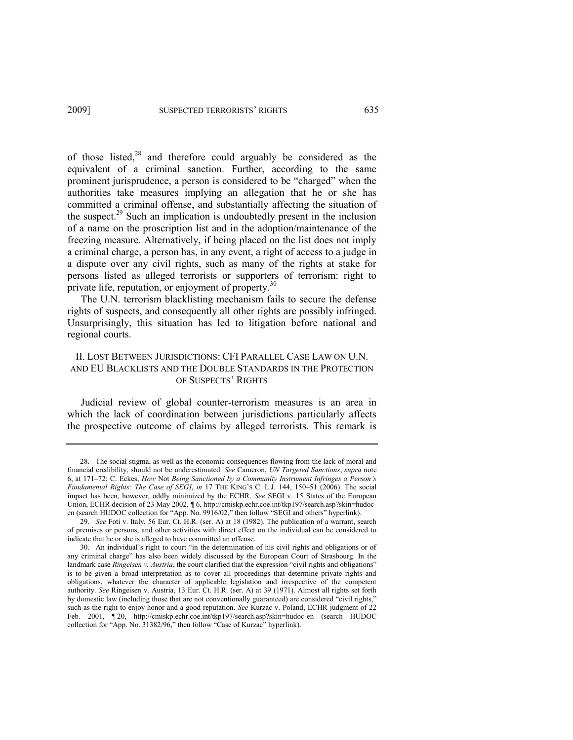of those listed, $28$  and therefore could arguably be considered as the equivalent of a criminal sanction. Further, according to the same prominent jurisprudence, a person is considered to be "charged" when the authorities take measures implying an allegation that he or she has committed a criminal offense, and substantially affecting the situation of the suspect.<sup>29</sup> Such an implication is undoubtedly present in the inclusion of a name on the proscription list and in the adoption/maintenance of the freezing measure. Alternatively, if being placed on the list does not imply a criminal charge, a person has, in any event, a right of access to a judge in a dispute over any civil rights, such as many of the rights at stake for persons listed as alleged terrorists or supporters of terrorism: right to private life, reputation, or enjoyment of property.<sup>30</sup>

The U.N. terrorism blacklisting mechanism fails to secure the defense rights of suspects, and consequently all other rights are possibly infringed. Unsurprisingly, this situation has led to litigation before national and regional courts.

#### II. LOST BETWEEN JURISDICTIONS: CFI PARALLEL CASE LAW ON U.N. AND EU BLACKLISTS AND THE DOUBLE STANDARDS IN THE PROTECTION OF SUSPECTS' RIGHTS

Judicial review of global counter-terrorism measures is an area in which the lack of coordination between jurisdictions particularly affects the prospective outcome of claims by alleged terrorists. This remark is

<sup>28.</sup> The social stigma, as well as the economic consequences flowing from the lack of moral and financial credibility, should not be underestimated. *See* Cameron, *UN Targeted Sanctions*, *supra* note [6,](#page-3-0) at 171–72; C. Eckes, *How* Not *Being Sanctioned by a Community Instrument Infringes a Person"s Fundamental Rights: The Case of SEGI*, *in* 17 THE KING'S C. L.J. 144, 150–51 (2006). The social impact has been, however, oddly minimized by the ECHR. *See* SEGI v. 15 States of the European Union, ECHR decision of 23 May 2002,  $\sqrt{ }$  6, http://cmiskp.echr.coe.int/tkp197/search.asp?skin=hudocen (search HUDOC collection for "App. No. 9916/02," then follow "SEGI and others" hyperlink).

<sup>29.</sup> *See* Foti v. Italy, 56 Eur. Ct. H.R. (ser. A) at 18 (1982). The publication of a warrant, search of premises or persons, and other activities with direct effect on the individual can be considered to indicate that he or she is alleged to have committed an offense.

<sup>30.</sup> An individual's right to court "in the determination of his civil rights and obligations or of any criminal charge" has also been widely discussed by the European Court of Strasbourg. In the landmark case *Ringeisen v. Austria*, the court clarified that the expression "civil rights and obligations" is to be given a broad interpretation as to cover all proceedings that determine private rights and obligations, whatever the character of applicable legislation and irrespective of the competent authority. *See* Ringeisen v. Austria, 13 Eur. Ct. H.R. (ser. A) at 39 (1971). Almost all rights set forth by domestic law (including those that are not conventionally guaranteed) are considered "civil rights," such as the right to enjoy honor and a good reputation. *See* Kurzac v. Poland, ECHR judgment of 22 Feb. 2001, ¶ 20, http://cmiskp.echr.coe.int/tkp197/search.asp?skin=hudoc-en (search HUDOC collection for "App. No. 31382/96," then follow "Case of Kurzac" hyperlink).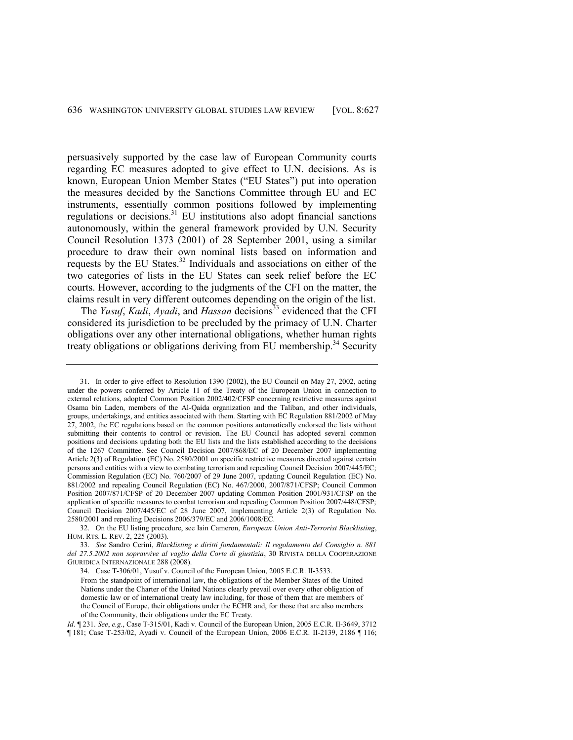persuasively supported by the case law of European Community courts regarding EC measures adopted to give effect to U.N. decisions. As is known, European Union Member States ("EU States") put into operation the measures decided by the Sanctions Committee through EU and EC instruments, essentially common positions followed by implementing regulations or decisions.<sup>31</sup> EU institutions also adopt financial sanctions autonomously, within the general framework provided by U.N. Security Council Resolution 1373 (2001) of 28 September 2001, using a similar procedure to draw their own nominal lists based on information and requests by the EU States. $32$  Individuals and associations on either of the two categories of lists in the EU States can seek relief before the EC courts. However, according to the judgments of the CFI on the matter, the claims result in very different outcomes depending on the origin of the list.

The *Yusuf*, *Kadi*, *Ayadi*, and *Hassan* decisions<sup>33</sup> evidenced that the CFI considered its jurisdiction to be precluded by the primacy of U.N. Charter obligations over any other international obligations, whether human rights treaty obligations or obligations deriving from EU membership.<sup>34</sup> Security

<sup>31.</sup> In order to give effect to Resolution 1390 (2002), the EU Council on May 27, 2002, acting under the powers conferred by Article 11 of the Treaty of the European Union in connection to external relations, adopted Common Position 2002/402/CFSP concerning restrictive measures against Osama bin Laden, members of the Al-Qaida organization and the Taliban, and other individuals, groups, undertakings, and entities associated with them. Starting with EC Regulation 881/2002 of May 27, 2002, the EC regulations based on the common positions automatically endorsed the lists without submitting their contents to control or revision. The EU Council has adopted several common positions and decisions updating both the EU lists and the lists established according to the decisions of the 1267 Committee. See Council Decision 2007/868/EC of 20 December 2007 implementing Article 2(3) of Regulation (EC) No. 2580/2001 on specific restrictive measures directed against certain persons and entities with a view to combating terrorism and repealing Council Decision 2007/445/EC; Commission Regulation (EC) No. 760/2007 of 29 June 2007, updating Council Regulation (EC) No. 881/2002 and repealing Council Regulation (EC) No. 467/2000, 2007/871/CFSP; Council Common Position 2007/871/CFSP of 20 December 2007 updating Common Position 2001/931/CFSP on the application of specific measures to combat terrorism and repealing Common Position 2007/448/CFSP; Council Decision 2007/445/EC of 28 June 2007, implementing Article 2(3) of Regulation No. 2580/2001 and repealing Decisions 2006/379/EC and 2006/1008/EC.

<sup>32.</sup> On the EU listing procedure, see Iain Cameron, *European Union Anti-Terrorist Blacklisting*, HUM. RTS. L. REV. 2, 225 (2003).

<sup>33.</sup> *See* Sandro Cerini, *Blacklisting e diritti fondamentali: Il regolamento del Consiglio n. 881 del 27.5.2002 non sopravvive al vaglio della Corte di giustizia*, 30 RIVISTA DELLA COOPERAZIONE GIURIDICA INTERNAZIONALE 288 (2008).

<sup>34.</sup> Case T-306/01, Yusuf v. Council of the European Union, 2005 E.C.R. II-3533.

From the standpoint of international law, the obligations of the Member States of the United Nations under the Charter of the United Nations clearly prevail over every other obligation of domestic law or of international treaty law including, for those of them that are members of the Council of Europe, their obligations under the ECHR and, for those that are also members of the Community, their obligations under the EC Treaty.

*Id*. ¶ 231. *See*, *e.g.*, Case T-315/01, Kadi v. Council of the European Union, 2005 E.C.R. II-3649, 3712 ¶ 181; Case T-253/02, Ayadi v. Council of the European Union, 2006 E.C.R. II-2139, 2186 ¶ 116;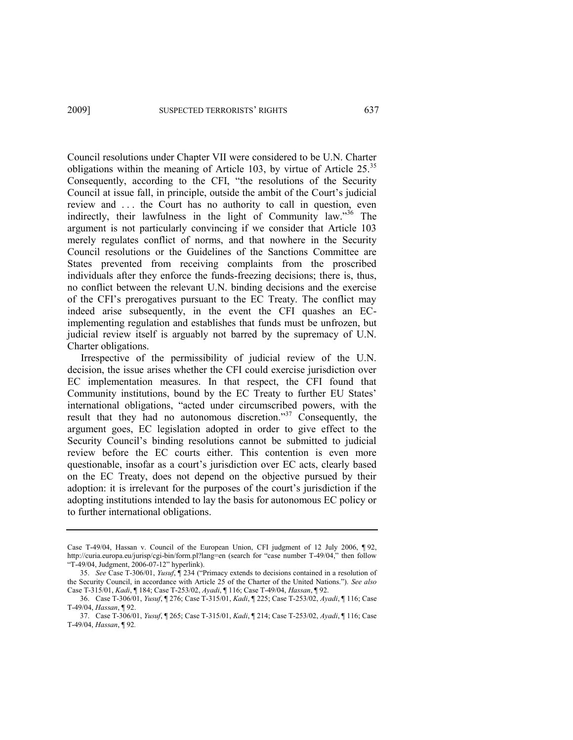<span id="page-11-0"></span>Council resolutions under Chapter VII were considered to be U.N. Charter obligations within the meaning of Article 103, by virtue of Article  $25^{35}$ Consequently, according to the CFI, "the resolutions of the Security Council at issue fall, in principle, outside the ambit of the Court's judicial review and . . . the Court has no authority to call in question, even indirectly, their lawfulness in the light of Community law."<sup>36</sup> The argument is not particularly convincing if we consider that Article 103 merely regulates conflict of norms, and that nowhere in the Security Council resolutions or the Guidelines of the Sanctions Committee are States prevented from receiving complaints from the proscribed individuals after they enforce the funds-freezing decisions; there is, thus, no conflict between the relevant U.N. binding decisions and the exercise of the CFI's prerogatives pursuant to the EC Treaty. The conflict may indeed arise subsequently, in the event the CFI quashes an ECimplementing regulation and establishes that funds must be unfrozen, but judicial review itself is arguably not barred by the supremacy of U.N. Charter obligations.

Irrespective of the permissibility of judicial review of the U.N. decision, the issue arises whether the CFI could exercise jurisdiction over EC implementation measures. In that respect, the CFI found that Community institutions, bound by the EC Treaty to further EU States' international obligations, "acted under circumscribed powers, with the result that they had no autonomous discretion."<sup>37</sup> Consequently, the argument goes, EC legislation adopted in order to give effect to the Security Council's binding resolutions cannot be submitted to judicial review before the EC courts either. This contention is even more questionable, insofar as a court's jurisdiction over EC acts, clearly based on the EC Treaty, does not depend on the objective pursued by their adoption: it is irrelevant for the purposes of the court's jurisdiction if the adopting institutions intended to lay the basis for autonomous EC policy or to further international obligations.

Case T-49/04, Hassan v. Council of the European Union, CFI judgment of 12 July 2006, ¶ 92, http://curia.europa.eu/jurisp/cgi-bin/form.pl?lang=en (search for "case number T-49/04," then follow "T-49/04, Judgment, 2006-07-12" hyperlink).

<sup>35.</sup> *See* Case T-306/01, *Yusuf*, 1234 ("Primacy extends to decisions contained in a resolution of the Security Council, in accordance with Article 25 of the Charter of the United Nations."). See also Case T-315/01, *Kadi*, ¶ 184; Case T-253/02, *Ayadi*, ¶ 116; Case T-49/04, *Hassan*, ¶ 92.

<sup>36.</sup> Case T-306/01, *Yusuf*, ¶ 276; Case T-315/01, *Kadi*, ¶ 225; Case T-253/02, *Ayadi*, ¶ 116; Case T-49/04, *Hassan*, ¶ 92.

<sup>37.</sup> Case T-306/01, *Yusuf*, ¶ 265; Case T-315/01, *Kadi*, ¶ 214; Case T-253/02, *Ayadi*, ¶ 116; Case T-49/04, *Hassan*, ¶ 92*.*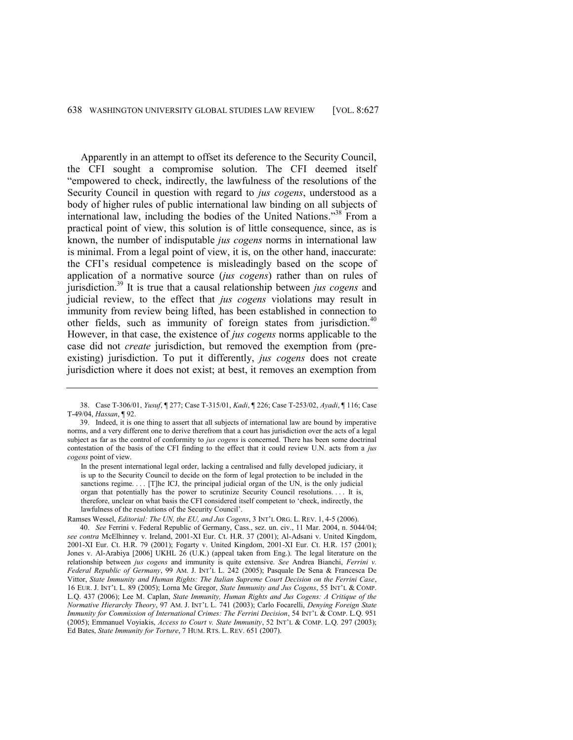Apparently in an attempt to offset its deference to the Security Council, the CFI sought a compromise solution. The CFI deemed itself "empowered to check, indirectly, the lawfulness of the resolutions of the Security Council in question with regard to *jus cogens*, understood as a body of higher rules of public international law binding on all subjects of international law, including the bodies of the United Nations."<sup>38</sup> From a practical point of view, this solution is of little consequence, since, as is known, the number of indisputable *jus cogens* norms in international law is minimal. From a legal point of view, it is, on the other hand, inaccurate: the CFI's residual competence is misleadingly based on the scope of application of a normative source (*jus cogens*) rather than on rules of jurisdiction.<sup>39</sup> It is true that a causal relationship between *jus cogens* and judicial review, to the effect that *jus cogens* violations may result in immunity from review being lifted, has been established in connection to other fields, such as immunity of foreign states from jurisdiction.<sup>40</sup> However, in that case, the existence of *jus cogens* norms applicable to the case did not *create* jurisdiction, but removed the exemption from (preexisting) jurisdiction. To put it differently, *jus cogens* does not create jurisdiction where it does not exist; at best, it removes an exemption from

Ramses Wessel, *Editorial: The UN, the EU, and Jus Cogens*, 3 INT'L ORG. L. REV. 1, 4-5 (2006).

<sup>38.</sup> Case T-306/01, *Yusuf*, ¶ 277; Case T-315/01, *Kadi*, ¶ 226; Case T-253/02, *Ayadi*, ¶ 116; Case T-49/04, *Hassan*, ¶ 92.

<sup>39.</sup> Indeed, it is one thing to assert that all subjects of international law are bound by imperative norms, and a very different one to derive therefrom that a court has jurisdiction over the acts of a legal subject as far as the control of conformity to *jus cogens* is concerned. There has been some doctrinal contestation of the basis of the CFI finding to the effect that it could review U.N. acts from a *jus cogens* point of view.

In the present international legal order, lacking a centralised and fully developed judiciary, it is up to the Security Council to decide on the form of legal protection to be included in the sanctions regime. . . . [T]he ICJ, the principal judicial organ of the UN, is the only judicial organ that potentially has the power to scrutinize Security Council resolutions. . . . It is, therefore, unclear on what basis the CFI considered itself competent to 'check, indirectly, the lawfulness of the resolutions of the Security Council'.

<sup>40.</sup> *See* Ferrini v. Federal Republic of Germany, Cass., sez. un. civ., 11 Mar. 2004, n. 5044/04; *see contra* McElhinney v. Ireland, 2001-XI Eur. Ct. H.R. 37 (2001); Al-Adsani v. United Kingdom, 2001-XI Eur. Ct. H.R. 79 (2001); Fogarty v. United Kingdom, 2001-XI Eur. Ct. H.R. 157 (2001); Jones v. Al-Arabiya [2006] UKHL 26 (U.K.) (appeal taken from Eng.). The legal literature on the relationship between *jus cogens* and immunity is quite extensive. *See* Andrea Bianchi, *Ferrini v. Federal Republic of Germany*, 99 AM. J. INT'L L. 242 (2005); Pasquale De Sena & Francesca De Vittor, *State Immunity and Human Rights: The Italian Supreme Court Decision on the Ferrini Case*, 16 EUR. J. INT'L L. 89 (2005); Lorna Mc Gregor, *State Immunity and Jus Cogens*, 55 INT'L & COMP. L.Q. 437 (2006); Lee M. Caplan, *State Immunity, Human Rights and Jus Cogens: A Critique of the Normative Hierarchy Theory*, 97 AM. J. INT'L L. 741 (2003); Carlo Focarelli, *Denying Foreign State Immunity for Commission of International Crimes: The Ferrini Decision*, 54 INT'L & COMP. L.Q. 951 (2005); Emmanuel Voyiakis, *Access to Court v. State Immunity*, 52 INT'L & COMP. L.Q. 297 (2003); Ed Bates, *State Immunity for Torture*, 7 HUM. RTS. L. REV. 651 (2007).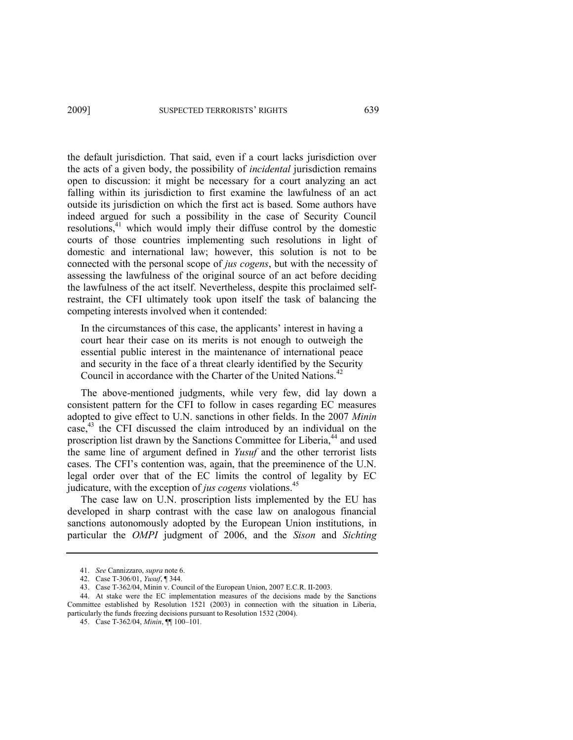the default jurisdiction. That said, even if a court lacks jurisdiction over the acts of a given body, the possibility of *incidental* jurisdiction remains open to discussion: it might be necessary for a court analyzing an act falling within its jurisdiction to first examine the lawfulness of an act outside its jurisdiction on which the first act is based. Some authors have indeed argued for such a possibility in the case of Security Council resolutions,<sup>41</sup> which would imply their diffuse control by the domestic courts of those countries implementing such resolutions in light of domestic and international law; however, this solution is not to be connected with the personal scope of *jus cogens*, but with the necessity of assessing the lawfulness of the original source of an act before deciding the lawfulness of the act itself. Nevertheless, despite this proclaimed selfrestraint, the CFI ultimately took upon itself the task of balancing the competing interests involved when it contended:

In the circumstances of this case, the applicants' interest in having a court hear their case on its merits is not enough to outweigh the essential public interest in the maintenance of international peace and security in the face of a threat clearly identified by the Security Council in accordance with the Charter of the United Nations.<sup>42</sup>

The above-mentioned judgments, while very few, did lay down a consistent pattern for the CFI to follow in cases regarding EC measures adopted to give effect to U.N. sanctions in other fields. In the 2007 *Minin*  case, $43$  the CFI discussed the claim introduced by an individual on the proscription list drawn by the Sanctions Committee for Liberia,<sup>44</sup> and used the same line of argument defined in *Yusuf* and the other terrorist lists cases. The CFI's contention was, again, that the preeminence of the U.N. legal order over that of the EC limits the control of legality by EC judicature, with the exception of *jus cogens* violations.<sup>45</sup>

The case law on U.N. proscription lists implemented by the EU has developed in sharp contrast with the case law on analogous financial sanctions autonomously adopted by the European Union institutions, in particular the *OMPI* judgment of 2006, and the *Sison* and *Sichting* 

<sup>41.</sup> *See* Cannizzaro, *supra* note [6.](#page-3-0)

<sup>42.</sup> Case T-306/01, *Yusuf*, ¶ 344.

<sup>43.</sup> Case T-362/04, Minin v. Council of the European Union, 2007 E.C.R. II-2003.

<sup>44.</sup> At stake were the EC implementation measures of the decisions made by the Sanctions Committee established by Resolution 1521 (2003) in connection with the situation in Liberia, particularly the funds freezing decisions pursuant to Resolution 1532 (2004).

<sup>45.</sup> Case T-362/04, *Minin*, ¶¶ 100–101*.*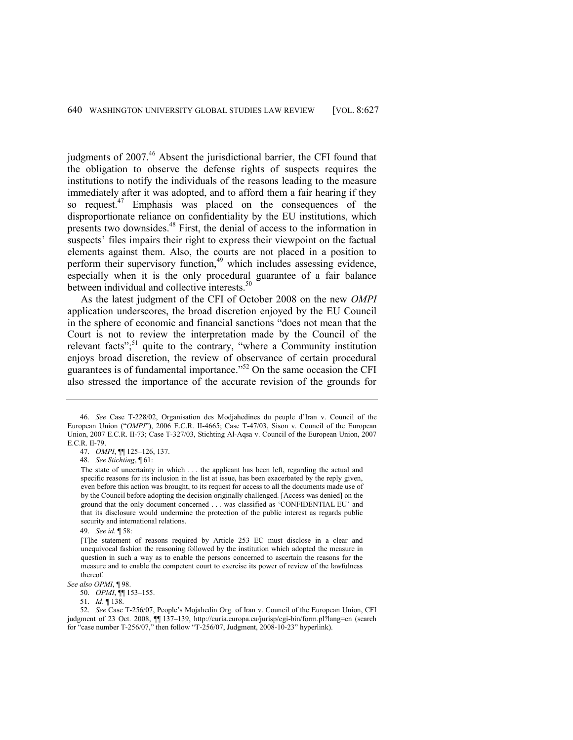<span id="page-14-0"></span>judgments of 2007.<sup>46</sup> Absent the jurisdictional barrier, the CFI found that the obligation to observe the defense rights of suspects requires the institutions to notify the individuals of the reasons leading to the measure immediately after it was adopted, and to afford them a fair hearing if they so request.<sup>47</sup> Emphasis was placed on the consequences of the disproportionate reliance on confidentiality by the EU institutions, which presents two downsides.<sup>48</sup> First, the denial of access to the information in suspects' files impairs their right to express their viewpoint on the factual elements against them. Also, the courts are not placed in a position to perform their supervisory function, $49$  which includes assessing evidence, especially when it is the only procedural guarantee of a fair balance between individual and collective interests.<sup>50</sup>

As the latest judgment of the CFI of October 2008 on the new *OMPI* application underscores, the broad discretion enjoyed by the EU Council in the sphere of economic and financial sanctions "does not mean that the Court is not to review the interpretation made by the Council of the relevant facts";<sup>51</sup> quite to the contrary, "where a Community institution enjoys broad discretion, the review of observance of certain procedural guarantees is of fundamental importance.<sup>552</sup> On the same occasion the CFI also stressed the importance of the accurate revision of the grounds for

48. *See Stichting*, ¶ 61:

*See also OPMI*, ¶ 98.

51. *Id*. ¶ 138.

52. *See* Case T-256/07, People's Mojahedin Org. of Iran v. Council of the European Union, CFI judgment of 23 Oct. 2008, ¶¶ 137–139, http://curia.europa.eu/jurisp/cgi-bin/form.pl?lang=en (search for "case number T-256/07," then follow "T-256/07, Judgment, 2008-10-23" hyperlink).

<sup>46.</sup> *See* Case T-228/02, Organisation des Modjahedines du peuple d'Iran v. Council of the European Union ("OMPI"), 2006 E.C.R. II-4665; Case T-47/03, Sison v. Council of the European Union, 2007 E.C.R. II-73; Case T-327/03, Stichting Al-Aqsa v. Council of the European Union, 2007 E.C.R. II-79.

<sup>47.</sup> *OMPI*, ¶¶ 125–126, 137.

The state of uncertainty in which . . . the applicant has been left, regarding the actual and specific reasons for its inclusion in the list at issue, has been exacerbated by the reply given, even before this action was brought, to its request for access to all the documents made use of by the Council before adopting the decision originally challenged. [Access was denied] on the ground that the only document concerned . . . was classified as 'CONFIDENTIAL EU' and that its disclosure would undermine the protection of the public interest as regards public security and international relations.

<sup>49.</sup> *See id*. ¶ 58:

<sup>[</sup>T]he statement of reasons required by Article 253 EC must disclose in a clear and unequivocal fashion the reasoning followed by the institution which adopted the measure in question in such a way as to enable the persons concerned to ascertain the reasons for the measure and to enable the competent court to exercise its power of review of the lawfulness thereof.

<sup>50.</sup> *OPMI*, ¶¶ 153–155.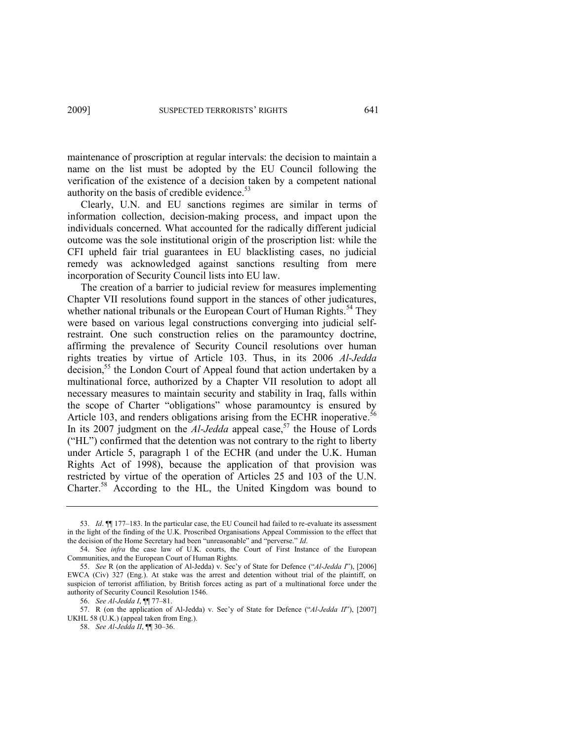maintenance of proscription at regular intervals: the decision to maintain a name on the list must be adopted by the EU Council following the verification of the existence of a decision taken by a competent national authority on the basis of credible evidence.<sup>53</sup>

Clearly, U.N. and EU sanctions regimes are similar in terms of information collection, decision-making process, and impact upon the individuals concerned. What accounted for the radically different judicial outcome was the sole institutional origin of the proscription list: while the CFI upheld fair trial guarantees in EU blacklisting cases, no judicial remedy was acknowledged against sanctions resulting from mere incorporation of Security Council lists into EU law.

The creation of a barrier to judicial review for measures implementing Chapter VII resolutions found support in the stances of other judicatures, whether national tribunals or the European Court of Human Rights.<sup>54</sup> They were based on various legal constructions converging into judicial selfrestraint. One such construction relies on the paramountcy doctrine, affirming the prevalence of Security Council resolutions over human rights treaties by virtue of Article 103. Thus, in its 2006 *Al-Jedda* decision,<sup>55</sup> the London Court of Appeal found that action undertaken by a multinational force, authorized by a Chapter VII resolution to adopt all necessary measures to maintain security and stability in Iraq, falls within the scope of Charter "obligations" whose paramountcy is ensured by Article 103, and renders obligations arising from the ECHR inoperative.<sup>56</sup> In its 2007 judgment on the *Al-Jedda* appeal case,<sup>57</sup> the House of Lords ("HL") confirmed that the detention was not contrary to the right to liberty under Article 5, paragraph 1 of the ECHR (and under the U.K. Human Rights Act of 1998), because the application of that provision was restricted by virtue of the operation of Articles 25 and 103 of the U.N. Charter.<sup>58</sup> According to the HL, the United Kingdom was bound to

<sup>53.</sup> *Id*. ¶¶ 177–183. In the particular case, the EU Council had failed to re-evaluate its assessment in the light of the finding of the U.K. Proscribed Organisations Appeal Commission to the effect that the decision of the Home Secretary had been "unreasonable" and "perverse." *Id*.

<sup>54.</sup> See *infra* the case law of U.K. courts, the Court of First Instance of the European Communities, and the European Court of Human Rights.

<sup>55.</sup> *See* R (on the application of Al-Jedda) v. Sec'y of State for Defence ("Al-Jedda I"), [2006] EWCA (Civ) 327 (Eng.). At stake was the arrest and detention without trial of the plaintiff, on suspicion of terrorist affiliation, by British forces acting as part of a multinational force under the authority of Security Council Resolution 1546.

<sup>56.</sup> *See Al-Jedda I*, ¶¶ 77–81.

<sup>57.</sup> R (on the application of Al-Jedda) v. Sec'y of State for Defence ("Al-Jedda II"), [2007] UKHL 58 (U.K.) (appeal taken from Eng.).

<sup>58.</sup> *See Al-Jedda II*, ¶¶ 30–36.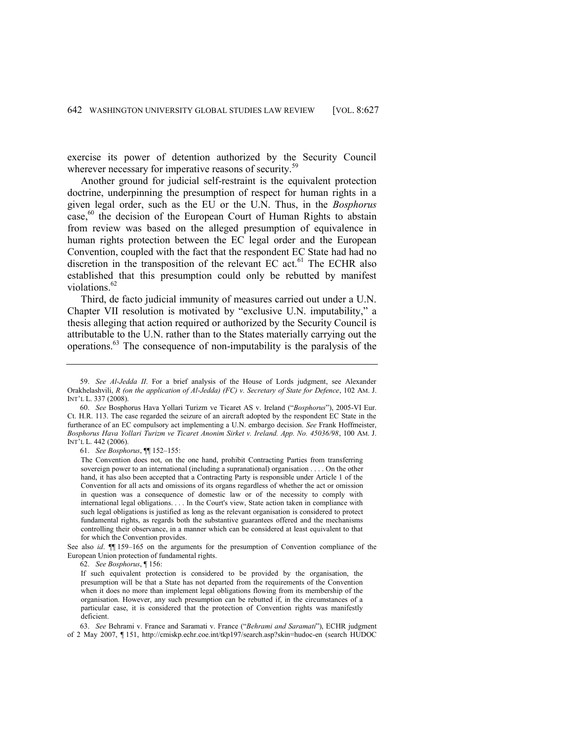exercise its power of detention authorized by the Security Council wherever necessary for imperative reasons of security.<sup>59</sup>

Another ground for judicial self-restraint is the equivalent protection doctrine, underpinning the presumption of respect for human rights in a given legal order, such as the EU or the U.N. Thus, in the *Bosphorus*  $case<sub>0</sub><sup>60</sup>$  the decision of the European Court of Human Rights to abstain from review was based on the alleged presumption of equivalence in human rights protection between the EC legal order and the European Convention, coupled with the fact that the respondent EC State had had no discretion in the transposition of the relevant EC act.<sup>61</sup> The ECHR also established that this presumption could only be rebutted by manifest violations.<sup>62</sup>

Third, de facto judicial immunity of measures carried out under a U.N. Chapter VII resolution is motivated by "exclusive U.N. imputability," a thesis alleging that action required or authorized by the Security Council is attributable to the U.N. rather than to the States materially carrying out the operations.<sup>63</sup> The consequence of non-imputability is the paralysis of the

63. See Behrami v. France and Saramati v. France ("Behrami and Saramati"), ECHR judgment of 2 May 2007, ¶ 151, http://cmiskp.echr.coe.int/tkp197/search.asp?skin=hudoc-en (search HUDOC

<sup>59.</sup> *See Al-Jedda II*. For a brief analysis of the House of Lords judgment, see Alexander Orakhelashvili, *R (on the application of Al-Jedda) (FC) v. Secretary of State for Defence*, 102 AM. J. INT'L L. 337 (2008).

<sup>60.</sup> *See* Bosphorus Hava Yollari Turizm ve Ticaret AS v. Ireland ("Bosphorus"), 2005-VI Eur. Ct. H.R. 113. The case regarded the seizure of an aircraft adopted by the respondent EC State in the furtherance of an EC compulsory act implementing a U.N. embargo decision. *See* Frank Hoffmeister, *Bosphorus Hava Yollari Turizm ve Ticaret Anonim Sirket v. Ireland. App. No. 45036/98*, 100 AM. J. INT'L L. 442 (2006).

<sup>61.</sup> *See Bosphorus*, ¶¶ 152–155:

The Convention does not, on the one hand, prohibit Contracting Parties from transferring sovereign power to an international (including a supranational) organisation . . . . On the other hand, it has also been accepted that a Contracting Party is responsible under Article 1 of the Convention for all acts and omissions of its organs regardless of whether the act or omission in question was a consequence of domestic law or of the necessity to comply with international legal obligations. . . . In the Court's view, State action taken in compliance with such legal obligations is justified as long as the relevant organisation is considered to protect fundamental rights, as regards both the substantive guarantees offered and the mechanisms controlling their observance, in a manner which can be considered at least equivalent to that for which the Convention provides.

See also *id*. ¶¶ 159–165 on the arguments for the presumption of Convention compliance of the European Union protection of fundamental rights.

<sup>62.</sup> *See Bosphorus*, ¶ 156:

If such equivalent protection is considered to be provided by the organisation, the presumption will be that a State has not departed from the requirements of the Convention when it does no more than implement legal obligations flowing from its membership of the organisation. However, any such presumption can be rebutted if, in the circumstances of a particular case, it is considered that the protection of Convention rights was manifestly deficient.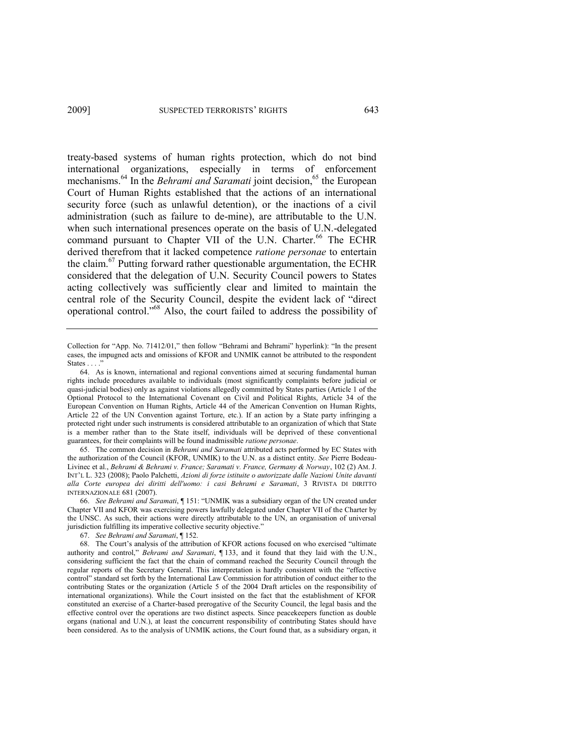<span id="page-17-0"></span>treaty-based systems of human rights protection, which do not bind international organizations, especially in terms of enforcement mechanisms.<sup>64</sup> In the *Behrami and Saramati* joint decision.<sup>65</sup> the European Court of Human Rights established that the actions of an international security force (such as unlawful detention), or the inactions of a civil administration (such as failure to de-mine), are attributable to the U.N. when such international presences operate on the basis of U.N.-delegated command pursuant to Chapter VII of the U.N. Charter.<sup>66</sup> The ECHR derived therefrom that it lacked competence *ratione personae* to entertain the claim.<sup>67</sup> Putting forward rather questionable argumentation, the ECHR considered that the delegation of U.N. Security Council powers to States acting collectively was sufficiently clear and limited to maintain the central role of the Security Council, despite the evident lack of "direct" operational control."<sup>68</sup> Also, the court failed to address the possibility of

65. The common decision in *Behrami and Saramati* attributed acts performed by EC States with the authorization of the Council (KFOR, UNMIK) to the U.N. as a distinct entity. *See* Pierre Bodeau-Livinec et al., *Behrami & Behrami v. France; Saramati v. France, Germany & Norway*, 102 (2) AM. J. INT'L L. 323 (2008); Paolo Palchetti, *Azioni di forze istituite o autorizzate dalle Nazioni Unite davanti alla Corte europea dei diritti dell'uomo: i casi Behrami e Saramati*, 3 RIVISTA DI DIRITTO INTERNAZIONALE 681 (2007).

66. *See Behrami and Saramati*, ¶ 151: ―UNMIK was a subsidiary organ of the UN created under Chapter VII and KFOR was exercising powers lawfully delegated under Chapter VII of the Charter by the UNSC. As such, their actions were directly attributable to the UN, an organisation of universal jurisdiction fulfilling its imperative collective security objective."

67. *See Behrami and Saramati*, ¶ 152.

68. The Court's analysis of the attribution of KFOR actions focused on who exercised "ultimate authority and control," *Behrami and Saramati*, 133, and it found that they laid with the U.N., considering sufficient the fact that the chain of command reached the Security Council through the regular reports of the Secretary General. This interpretation is hardly consistent with the "effective control" standard set forth by the International Law Commission for attribution of conduct either to the contributing States or the organization (Article 5 of the 2004 Draft articles on the responsibility of international organizations). While the Court insisted on the fact that the establishment of KFOR constituted an exercise of a Charter-based prerogative of the Security Council, the legal basis and the effective control over the operations are two distinct aspects. Since peacekeepers function as double organs (national and U.N.), at least the concurrent responsibility of contributing States should have been considered. As to the analysis of UNMIK actions, the Court found that, as a subsidiary organ, it

Collection for "App. No. 71412/01," then follow "Behrami and Behrami" hyperlink): "In the present cases, the impugned acts and omissions of KFOR and UNMIK cannot be attributed to the respondent States ...

<sup>64.</sup> As is known, international and regional conventions aimed at securing fundamental human rights include procedures available to individuals (most significantly complaints before judicial or quasi-judicial bodies) only as against violations allegedly committed by States parties (Article 1 of the Optional Protocol to the International Covenant on Civil and Political Rights, Article 34 of the European Convention on Human Rights, Article 44 of the American Convention on Human Rights, Article 22 of the UN Convention against Torture, etc.). If an action by a State party infringing a protected right under such instruments is considered attributable to an organization of which that State is a member rather than to the State itself, individuals will be deprived of these conventional guarantees, for their complaints will be found inadmissible *ratione personae*.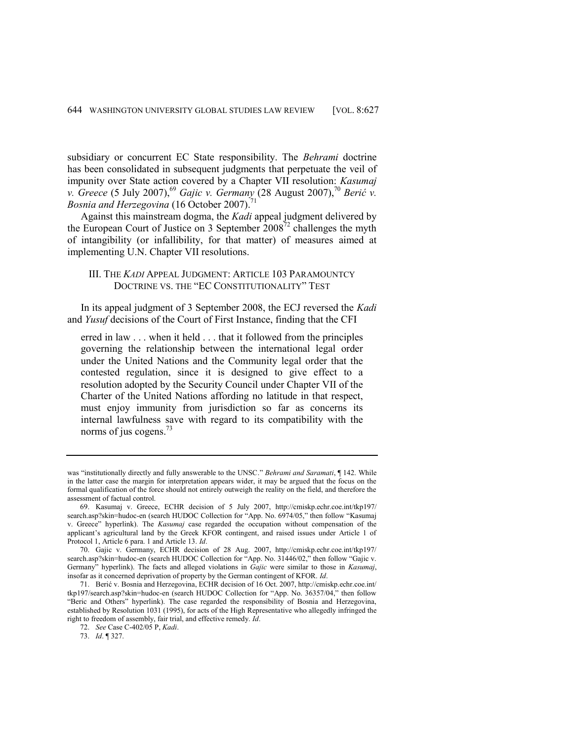subsidiary or concurrent EC State responsibility. The *Behrami* doctrine has been consolidated in subsequent judgments that perpetuate the veil of impunity over State action covered by a Chapter VII resolution: *Kasumaj v. Greece* (5 July 2007),<sup>69</sup> *Gajic v. Germany* (28 August 2007),<sup>70</sup> *Berić v. Bosnia and Herzegovina* (16 October 2007).<sup>7</sup>

Against this mainstream dogma, the *Kadi* appeal judgment delivered by the European Court of Justice on 3 September  $2008^{72}$  challenges the myth of intangibility (or infallibility, for that matter) of measures aimed at implementing U.N. Chapter VII resolutions.

#### III. THE *KADI* APPEAL JUDGMENT: ARTICLE 103 PARAMOUNTCY DOCTRINE VS. THE "EC CONSTITUTIONALITY" TEST

In its appeal judgment of 3 September 2008, the ECJ reversed the *Kadi*  and *Yusuf* decisions of the Court of First Instance, finding that the CFI

erred in law . . . when it held . . . that it followed from the principles governing the relationship between the international legal order under the United Nations and the Community legal order that the contested regulation, since it is designed to give effect to a resolution adopted by the Security Council under Chapter VII of the Charter of the United Nations affording no latitude in that respect, must enjoy immunity from jurisdiction so far as concerns its internal lawfulness save with regard to its compatibility with the norms of jus cogens. $^{73}$ 

was "institutionally directly and fully answerable to the UNSC." *Behrami and Saramati*, ¶ 142. While in the latter case the margin for interpretation appears wider, it may be argued that the focus on the formal qualification of the force should not entirely outweigh the reality on the field, and therefore the assessment of factual control.

<sup>69.</sup> Kasumaj v. Greece, ECHR decision of 5 July 2007, http://cmiskp.echr.coe.int/tkp197/ search.asp?skin=hudoc-en (search HUDOC Collection for "App. No. 6974/05," then follow "Kasumaj v. Greece‖ hyperlink). The *Kasumaj* case regarded the occupation without compensation of the applicant's agricultural land by the Greek KFOR contingent, and raised issues under Article 1 of Protocol 1, Article 6 para. 1 and Article 13. *Id*.

<sup>70.</sup> Gajic v. Germany, ECHR decision of 28 Aug. 2007, http://cmiskp.echr.coe.int/tkp197/ search.asp?skin=hudoc-en (search HUDOC Collection for "App. No. 31446/02," then follow "Gajic v. Germany<sup>3</sup> hyperlink). The facts and alleged violations in *Gajic* were similar to those in *Kasumaj*, insofar as it concerned deprivation of property by the German contingent of KFOR. *Id*.

<sup>71.</sup> Berić v. Bosnia and Herzegovina, ECHR decision of 16 Oct. 2007, http://cmiskp.echr.coe.int/ tkp197/search.asp?skin=hudoc-en (search HUDOC Collection for "App. No. 36357/04," then follow ―Beric and Others‖ hyperlink). The case regarded the responsibility of Bosnia and Herzegovina, established by Resolution 1031 (1995), for acts of the High Representative who allegedly infringed the right to freedom of assembly, fair trial, and effective remedy. *Id*.

<sup>72.</sup> *See* Case C-402/05 P, *Kadi*.

<sup>73.</sup> *Id*. ¶ 327.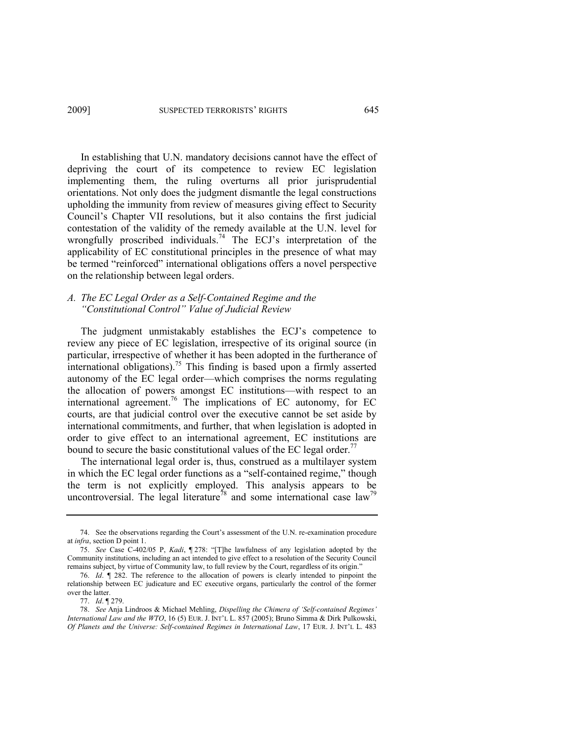In establishing that U.N. mandatory decisions cannot have the effect of depriving the court of its competence to review EC legislation implementing them, the ruling overturns all prior jurisprudential orientations. Not only does the judgment dismantle the legal constructions upholding the immunity from review of measures giving effect to Security Council's Chapter VII resolutions, but it also contains the first judicial contestation of the validity of the remedy available at the U.N. level for wrongfully proscribed individuals.<sup>74</sup> The ECJ's interpretation of the applicability of EC constitutional principles in the presence of what may be termed "reinforced" international obligations offers a novel perspective on the relationship between legal orders.

#### <span id="page-19-0"></span>*A. The EC Legal Order as a Self-Contained Regime and the "Constitutional Control" Value of Judicial Review*

The judgment unmistakably establishes the ECJ's competence to review any piece of EC legislation, irrespective of its original source (in particular, irrespective of whether it has been adopted in the furtherance of international obligations).<sup>75</sup> This finding is based upon a firmly asserted autonomy of the EC legal order—which comprises the norms regulating the allocation of powers amongst EC institutions—with respect to an international agreement.<sup>76</sup> The implications of EC autonomy, for EC courts, are that judicial control over the executive cannot be set aside by international commitments, and further, that when legislation is adopted in order to give effect to an international agreement, EC institutions are bound to secure the basic constitutional values of the EC legal order.<sup>77</sup>

The international legal order is, thus, construed as a multilayer system in which the EC legal order functions as a "self-contained regime," though the term is not explicitly employed. This analysis appears to be uncontroversial. The legal literature<sup>78</sup> and some international case law<sup>79</sup>

<sup>74.</sup> See the observations regarding the Court's assessment of the U.N. re-examination procedure at *infra*, section D point 1.

<sup>75.</sup> *See* Case C-402/05 P, *Kadi*,  $\P$  278: "[T]he lawfulness of any legislation adopted by the Community institutions, including an act intended to give effect to a resolution of the Security Council remains subject, by virtue of Community law, to full review by the Court, regardless of its origin."

<sup>76.</sup> *Id*. ¶ 282. The reference to the allocation of powers is clearly intended to pinpoint the relationship between EC judicature and EC executive organs, particularly the control of the former over the latter.

<sup>77.</sup> *Id*. ¶ 279.

<sup>78.</sup> *See* Anja Lindroos & Michael Mehling, *Dispelling the Chimera of "Self-contained Regimes" International Law and the WTO*, 16 (5) EUR. J. INT'L L. 857 (2005); Bruno Simma & Dirk Pulkowski, *Of Planets and the Universe: Self-contained Regimes in International Law*, 17 EUR. J. INT'L L. 483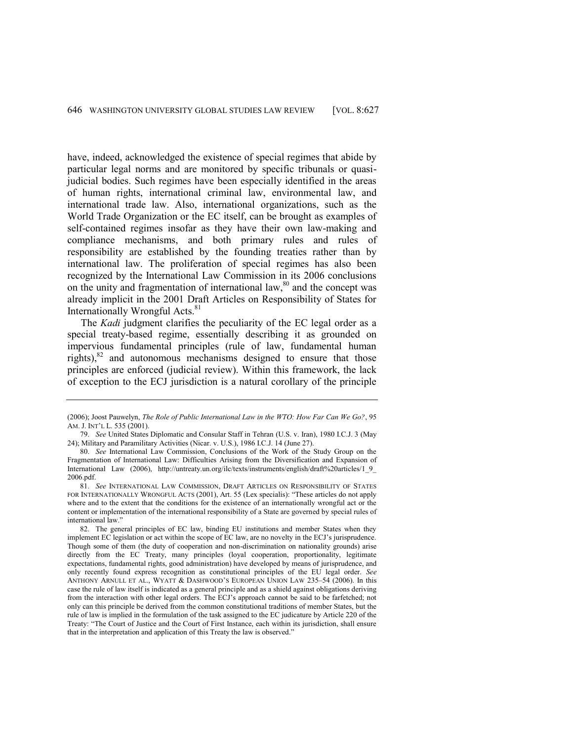have, indeed, acknowledged the existence of special regimes that abide by particular legal norms and are monitored by specific tribunals or quasijudicial bodies. Such regimes have been especially identified in the areas of human rights, international criminal law, environmental law, and international trade law. Also, international organizations, such as the World Trade Organization or the EC itself, can be brought as examples of self-contained regimes insofar as they have their own law-making and compliance mechanisms, and both primary rules and rules of responsibility are established by the founding treaties rather than by international law. The proliferation of special regimes has also been recognized by the International Law Commission in its 2006 conclusions on the unity and fragmentation of international law, $80$  and the concept was already implicit in the 2001 Draft Articles on Responsibility of States for Internationally Wrongful Acts.<sup>81</sup>

The *Kadi* judgment clarifies the peculiarity of the EC legal order as a special treaty-based regime, essentially describing it as grounded on impervious fundamental principles (rule of law, fundamental human rights), $82$  and autonomous mechanisms designed to ensure that those principles are enforced (judicial review). Within this framework, the lack of exception to the ECJ jurisdiction is a natural corollary of the principle

<sup>(2006);</sup> Joost Pauwelyn, *The Role of Public International Law in the WTO: How Far Can We Go?*, 95 AM. J. INT'L L. 535 (2001).

<sup>79.</sup> *See* United States Diplomatic and Consular Staff in Tehran (U.S. v. Iran), 1980 I.C.J. 3 (May 24); Military and Paramilitary Activities (Nicar. v. U.S.), 1986 I.C.J. 14 (June 27).

<sup>80.</sup> *See* International Law Commission, Conclusions of the Work of the Study Group on the Fragmentation of International Law: Difficulties Arising from the Diversification and Expansion of International Law (2006), http://untreaty.un.org/ilc/texts/instruments/english/draft%20articles/1\_9\_ 2006.pdf.

<sup>81.</sup> *See* INTERNATIONAL LAW COMMISSION, DRAFT ARTICLES ON RESPONSIBILITY OF STATES FOR INTERNATIONALLY WRONGFUL ACTS (2001), Art. 55 (Lex specialis): "These articles do not apply where and to the extent that the conditions for the existence of an internationally wrongful act or the content or implementation of the international responsibility of a State are governed by special rules of international law."

<sup>82.</sup> The general principles of EC law, binding EU institutions and member States when they implement EC legislation or act within the scope of EC law, are no novelty in the ECJ's jurisprudence. Though some of them (the duty of cooperation and non-discrimination on nationality grounds) arise directly from the EC Treaty, many principles (loyal cooperation, proportionality, legitimate expectations, fundamental rights, good administration) have developed by means of jurisprudence, and only recently found express recognition as constitutional principles of the EU legal order. *See* ANTHONY ARNULL ET AL., WYATT & DASHWOOD'S EUROPEAN UNION LAW 235–54 (2006). In this case the rule of law itself is indicated as a general principle and as a shield against obligations deriving from the interaction with other legal orders. The ECJ's approach cannot be said to be farfetched; not only can this principle be derived from the common constitutional traditions of member States, but the rule of law is implied in the formulation of the task assigned to the EC judicature by Article 220 of the Treaty: "The Court of Justice and the Court of First Instance, each within its jurisdiction, shall ensure that in the interpretation and application of this Treaty the law is observed."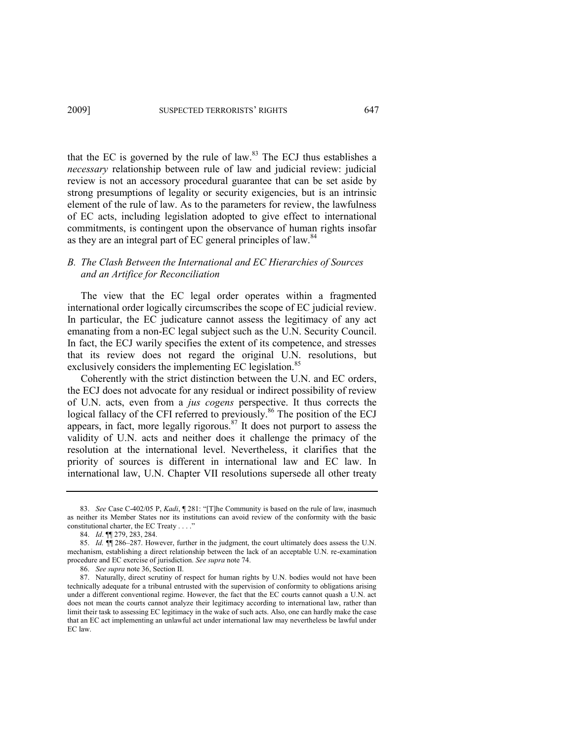that the EC is governed by the rule of law.<sup>83</sup> The ECJ thus establishes a *necessary* relationship between rule of law and judicial review: judicial review is not an accessory procedural guarantee that can be set aside by strong presumptions of legality or security exigencies, but is an intrinsic element of the rule of law. As to the parameters for review, the lawfulness of EC acts, including legislation adopted to give effect to international commitments, is contingent upon the observance of human rights insofar as they are an integral part of EC general principles of law.<sup>84</sup>

#### *B. The Clash Between the International and EC Hierarchies of Sources and an Artifice for Reconciliation*

The view that the EC legal order operates within a fragmented international order logically circumscribes the scope of EC judicial review. In particular, the EC judicature cannot assess the legitimacy of any act emanating from a non-EC legal subject such as the U.N. Security Council. In fact, the ECJ warily specifies the extent of its competence, and stresses that its review does not regard the original U.N. resolutions, but exclusively considers the implementing EC legislation.<sup>85</sup>

Coherently with the strict distinction between the U.N. and EC orders, the ECJ does not advocate for any residual or indirect possibility of review of U.N. acts, even from a *jus cogens* perspective. It thus corrects the logical fallacy of the CFI referred to previously.<sup>86</sup> The position of the ECJ appears, in fact, more legally rigorous.<sup>87</sup> It does not purport to assess the validity of U.N. acts and neither does it challenge the primacy of the resolution at the international level. Nevertheless, it clarifies that the priority of sources is different in international law and EC law. In international law, U.N. Chapter VII resolutions supersede all other treaty

<sup>83.</sup> *See* Case C-402/05 P, *Kadi*, 1281: "[T]he Community is based on the rule of law, inasmuch as neither its Member States nor its institutions can avoid review of the conformity with the basic constitutional charter, the EC Treaty . . . ."

<sup>84.</sup> *Id*. ¶¶ 279, 283, 284.

<sup>85.</sup> *Id.*  $\llbracket \text{I} \rrbracket$  286–287. However, further in the judgment, the court ultimately does assess the U.N. mechanism, establishing a direct relationship between the lack of an acceptable U.N. re-examination procedure and EC exercise of jurisdiction. *See supra* not[e 74.](#page-19-0)

<sup>86.</sup> *See supra* not[e 36,](#page-11-0) Section II.

<sup>87.</sup> Naturally, direct scrutiny of respect for human rights by U.N. bodies would not have been technically adequate for a tribunal entrusted with the supervision of conformity to obligations arising under a different conventional regime. However, the fact that the EC courts cannot quash a U.N. act does not mean the courts cannot analyze their legitimacy according to international law, rather than limit their task to assessing EC legitimacy in the wake of such acts. Also, one can hardly make the case that an EC act implementing an unlawful act under international law may nevertheless be lawful under EC law.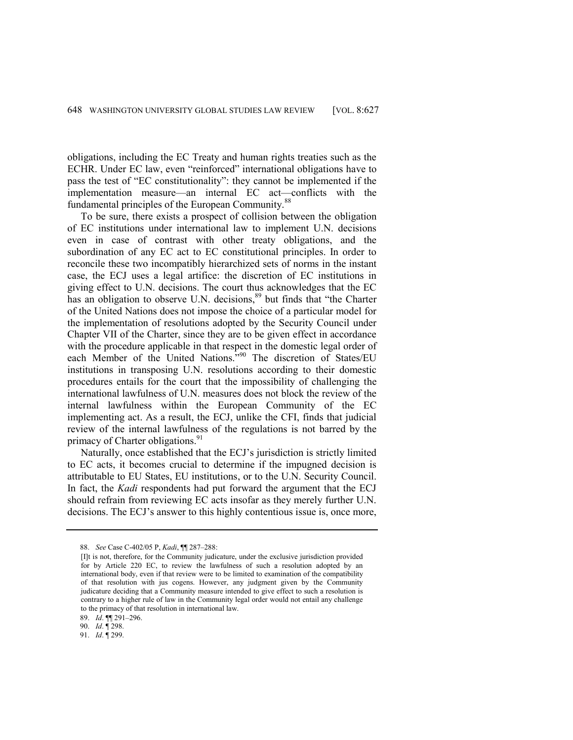obligations, including the EC Treaty and human rights treaties such as the ECHR. Under EC law, even "reinforced" international obligations have to pass the test of "EC constitutionality": they cannot be implemented if the implementation measure—an internal EC act—conflicts with the fundamental principles of the European Community.<sup>88</sup>

To be sure, there exists a prospect of collision between the obligation of EC institutions under international law to implement U.N. decisions even in case of contrast with other treaty obligations, and the subordination of any EC act to EC constitutional principles. In order to reconcile these two incompatibly hierarchized sets of norms in the instant case, the ECJ uses a legal artifice: the discretion of EC institutions in giving effect to U.N. decisions. The court thus acknowledges that the EC has an obligation to observe U.N. decisions,<sup>89</sup> but finds that "the Charter" of the United Nations does not impose the choice of a particular model for the implementation of resolutions adopted by the Security Council under Chapter VII of the Charter, since they are to be given effect in accordance with the procedure applicable in that respect in the domestic legal order of each Member of the United Nations.<sup>590</sup> The discretion of States/EU institutions in transposing U.N. resolutions according to their domestic procedures entails for the court that the impossibility of challenging the international lawfulness of U.N. measures does not block the review of the internal lawfulness within the European Community of the EC implementing act. As a result, the ECJ, unlike the CFI, finds that judicial review of the internal lawfulness of the regulations is not barred by the primacy of Charter obligations.<sup>91</sup>

Naturally, once established that the ECJ's jurisdiction is strictly limited to EC acts, it becomes crucial to determine if the impugned decision is attributable to EU States, EU institutions, or to the U.N. Security Council. In fact, the *Kadi* respondents had put forward the argument that the ECJ should refrain from reviewing EC acts insofar as they merely further U.N. decisions. The ECJ's answer to this highly contentious issue is, once more,

<sup>88.</sup> *See* Case C-402/05 P, *Kadi*, ¶¶ 287–288:

<sup>[</sup>I]t is not, therefore, for the Community judicature, under the exclusive jurisdiction provided for by Article 220 EC, to review the lawfulness of such a resolution adopted by an international body, even if that review were to be limited to examination of the compatibility of that resolution with jus cogens. However, any judgment given by the Community judicature deciding that a Community measure intended to give effect to such a resolution is contrary to a higher rule of law in the Community legal order would not entail any challenge to the primacy of that resolution in international law.

<sup>89.</sup> *Id*. ¶¶ 291–296.

<sup>90.</sup> *Id*. ¶ 298.

<sup>91.</sup> *Id*. ¶ 299.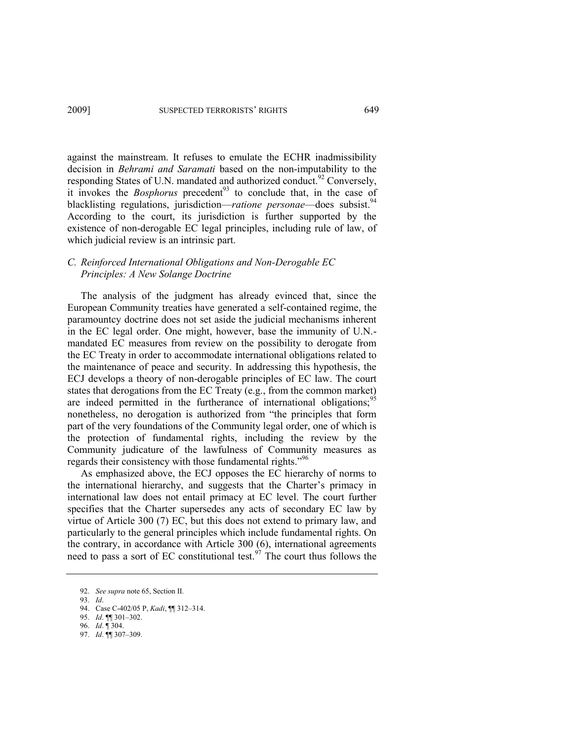against the mainstream. It refuses to emulate the ECHR inadmissibility decision in *Behrami and Saramati* based on the non-imputability to the responding States of U.N. mandated and authorized conduct.<sup>92</sup> Conversely, it invokes the *Bosphorus* precedent<sup>93</sup> to conclude that, in the case of blacklisting regulations, jurisdiction—*ratione personae*—does subsist.<sup>94</sup> According to the court, its jurisdiction is further supported by the existence of non-derogable EC legal principles, including rule of law, of which judicial review is an intrinsic part.

#### *C. Reinforced International Obligations and Non-Derogable EC Principles: A New Solange Doctrine*

The analysis of the judgment has already evinced that, since the European Community treaties have generated a self-contained regime, the paramountcy doctrine does not set aside the judicial mechanisms inherent in the EC legal order. One might, however, base the immunity of U.N. mandated EC measures from review on the possibility to derogate from the EC Treaty in order to accommodate international obligations related to the maintenance of peace and security. In addressing this hypothesis, the ECJ develops a theory of non-derogable principles of EC law. The court states that derogations from the EC Treaty (e.g., from the common market) are indeed permitted in the furtherance of international obligations;  $95$ nonetheless, no derogation is authorized from "the principles that form part of the very foundations of the Community legal order, one of which is the protection of fundamental rights, including the review by the Community judicature of the lawfulness of Community measures as regards their consistency with those fundamental rights.<sup>996</sup>

As emphasized above, the ECJ opposes the EC hierarchy of norms to the international hierarchy, and suggests that the Charter's primacy in international law does not entail primacy at EC level. The court further specifies that the Charter supersedes any acts of secondary EC law by virtue of Article 300 (7) EC, but this does not extend to primary law, and particularly to the general principles which include fundamental rights. On the contrary, in accordance with Article 300 (6), international agreements need to pass a sort of EC constitutional test.<sup>97</sup> The court thus follows the

<sup>92.</sup> *See supra* not[e 65,](#page-17-0) Section II.

<sup>93.</sup> *Id*.

<sup>94.</sup> Case C-402/05 P, *Kadi*, ¶¶ 312–314.

<sup>95.</sup> *Id*. ¶¶ 301–302.

<sup>96.</sup> *Id*. ¶ 304.

<sup>97.</sup> *Id*. ¶¶ 307–309.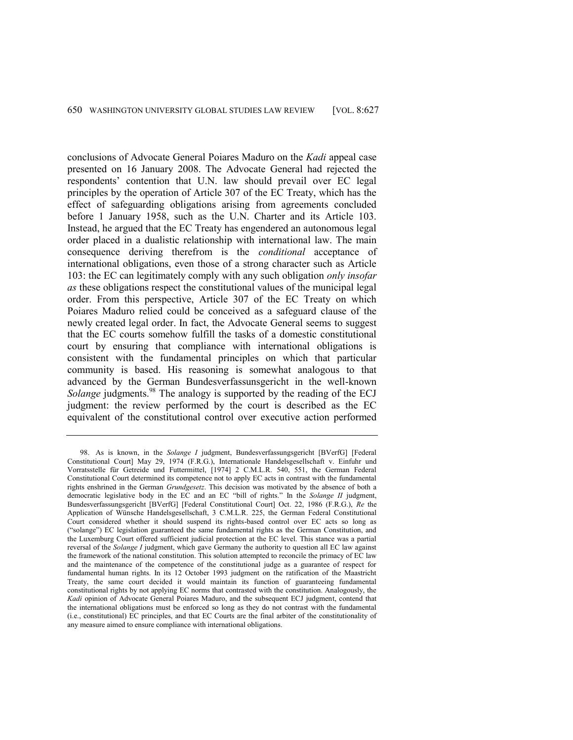conclusions of Advocate General Poiares Maduro on the *Kadi* appeal case presented on 16 January 2008. The Advocate General had rejected the respondents' contention that U.N. law should prevail over EC legal principles by the operation of Article 307 of the EC Treaty, which has the effect of safeguarding obligations arising from agreements concluded before 1 January 1958, such as the U.N. Charter and its Article 103. Instead, he argued that the EC Treaty has engendered an autonomous legal order placed in a dualistic relationship with international law. The main consequence deriving therefrom is the *conditional* acceptance of international obligations, even those of a strong character such as Article 103: the EC can legitimately comply with any such obligation *only insofar as* these obligations respect the constitutional values of the municipal legal order. From this perspective, Article 307 of the EC Treaty on which Poiares Maduro relied could be conceived as a safeguard clause of the newly created legal order. In fact, the Advocate General seems to suggest that the EC courts somehow fulfill the tasks of a domestic constitutional court by ensuring that compliance with international obligations is consistent with the fundamental principles on which that particular community is based. His reasoning is somewhat analogous to that advanced by the German Bundesverfassunsgericht in the well-known *Solange* judgments.<sup>98</sup> The analogy is supported by the reading of the ECJ judgment: the review performed by the court is described as the EC equivalent of the constitutional control over executive action performed

<sup>98.</sup> As is known, in the *Solange I* judgment, Bundesverfassungsgericht [BVerfG] [Federal Constitutional Court] May 29, 1974 (F.R.G.), Internationale Handelsgesellschaft v. Einfuhr und Vorratsstelle für Getreide und Futtermittel, [1974] 2 C.M.L.R. 540, 551, the German Federal Constitutional Court determined its competence not to apply EC acts in contrast with the fundamental rights enshrined in the German *Grundgesetz*. This decision was motivated by the absence of both a democratic legislative body in the EC and an EC "bill of rights." In the *Solange II* judgment, Bundesverfassungsgericht [BVerfG] [Federal Constitutional Court] Oct. 22, 1986 (F.R.G.), *Re* the Application of Wünsche Handelsgesellschaft, 3 C.M.L.R. 225, the German Federal Constitutional Court considered whether it should suspend its rights-based control over EC acts so long as (―solange‖) EC legislation guaranteed the same fundamental rights as the German Constitution, and the Luxemburg Court offered sufficient judicial protection at the EC level. This stance was a partial reversal of the *Solange I* judgment, which gave Germany the authority to question all EC law against the framework of the national constitution. This solution attempted to reconcile the primacy of EC law and the maintenance of the competence of the constitutional judge as a guarantee of respect for fundamental human rights. In its 12 October 1993 judgment on the ratification of the Maastricht Treaty, the same court decided it would maintain its function of guaranteeing fundamental constitutional rights by not applying EC norms that contrasted with the constitution. Analogously, the *Kadi* opinion of Advocate General Poiares Maduro, and the subsequent ECJ judgment, contend that the international obligations must be enforced so long as they do not contrast with the fundamental (i.e., constitutional) EC principles, and that EC Courts are the final arbiter of the constitutionality of any measure aimed to ensure compliance with international obligations.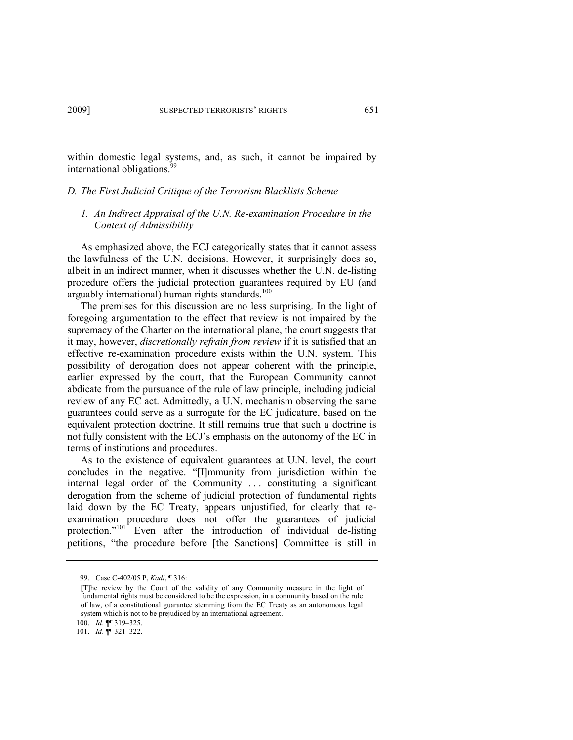within domestic legal systems, and, as such, it cannot be impaired by international obligations.<sup>9</sup>

#### *D. The First Judicial Critique of the Terrorism Blacklists Scheme*

#### *1. An Indirect Appraisal of the U.N. Re-examination Procedure in the Context of Admissibility*

As emphasized above, the ECJ categorically states that it cannot assess the lawfulness of the U.N. decisions. However, it surprisingly does so, albeit in an indirect manner, when it discusses whether the U.N. de-listing procedure offers the judicial protection guarantees required by EU (and arguably international) human rights standards.<sup>100</sup>

The premises for this discussion are no less surprising. In the light of foregoing argumentation to the effect that review is not impaired by the supremacy of the Charter on the international plane, the court suggests that it may, however, *discretionally refrain from review* if it is satisfied that an effective re-examination procedure exists within the U.N. system. This possibility of derogation does not appear coherent with the principle, earlier expressed by the court, that the European Community cannot abdicate from the pursuance of the rule of law principle, including judicial review of any EC act. Admittedly, a U.N. mechanism observing the same guarantees could serve as a surrogate for the EC judicature, based on the equivalent protection doctrine. It still remains true that such a doctrine is not fully consistent with the ECJ's emphasis on the autonomy of the EC in terms of institutions and procedures.

As to the existence of equivalent guarantees at U.N. level, the court concludes in the negative. "[I]mmunity from jurisdiction within the internal legal order of the Community . . . constituting a significant derogation from the scheme of judicial protection of fundamental rights laid down by the EC Treaty, appears unjustified, for clearly that reexamination procedure does not offer the guarantees of judicial protection."<sup>101</sup> Even after the introduction of individual de-listing petitions, "the procedure before [the Sanctions] Committee is still in

<sup>99.</sup> Case C-402/05 P, *Kadi*, ¶ 316:

<sup>[</sup>T]he review by the Court of the validity of any Community measure in the light of fundamental rights must be considered to be the expression, in a community based on the rule of law, of a constitutional guarantee stemming from the EC Treaty as an autonomous legal system which is not to be prejudiced by an international agreement.

<sup>100.</sup> *Id*. ¶¶ 319–325.

<sup>101.</sup> *Id*. ¶¶ 321–322.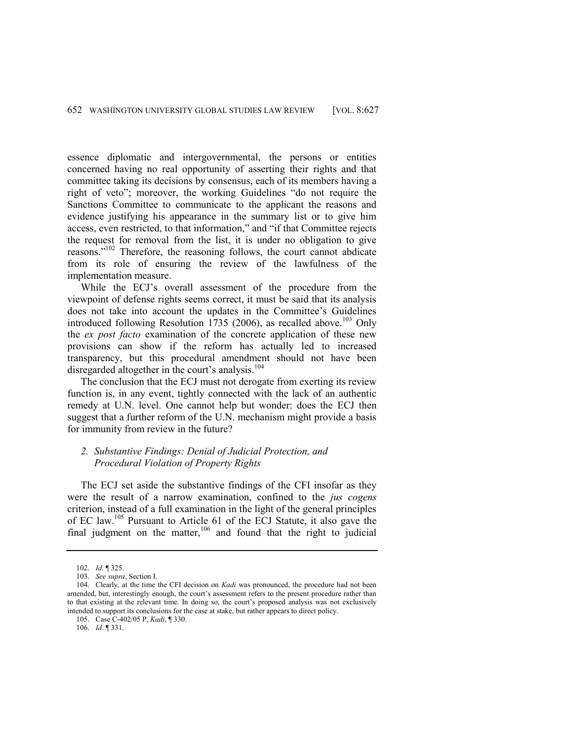essence diplomatic and intergovernmental, the persons or entities concerned having no real opportunity of asserting their rights and that committee taking its decisions by consensus, each of its members having a right of veto"; moreover, the working Guidelines "do not require the Sanctions Committee to communicate to the applicant the reasons and evidence justifying his appearance in the summary list or to give him access, even restricted, to that information," and "if that Committee rejects the request for removal from the list, it is under no obligation to give reasons."<sup>102</sup> Therefore, the reasoning follows, the court cannot abdicate from its role of ensuring the review of the lawfulness of the implementation measure.

While the ECJ's overall assessment of the procedure from the viewpoint of defense rights seems correct, it must be said that its analysis does not take into account the updates in the Committee's Guidelines introduced following Resolution 1735 (2006), as recalled above.<sup>103</sup> Only the *ex post facto* examination of the concrete application of these new provisions can show if the reform has actually led to increased transparency, but this procedural amendment should not have been disregarded altogether in the court's analysis.<sup>104</sup>

The conclusion that the ECJ must not derogate from exerting its review function is, in any event, tightly connected with the lack of an authentic remedy at U.N. level. One cannot help but wonder: does the ECJ then suggest that a further reform of the U.N. mechanism might provide a basis for immunity from review in the future?

#### *2. Substantive Findings: Denial of Judicial Protection, and Procedural Violation of Property Rights*

The ECJ set aside the substantive findings of the CFI insofar as they were the result of a narrow examination, confined to the *jus cogens* criterion, instead of a full examination in the light of the general principles of EC law.<sup>105</sup> Pursuant to Article 61 of the ECJ Statute, it also gave the final judgment on the matter, $106$  and found that the right to judicial

<sup>102.</sup> *Id*. ¶ 325.

<sup>103.</sup> *See supra*, Section I.

<sup>104.</sup> Clearly, at the time the CFI decision on *Kadi* was pronounced, the procedure had not been amended, but, interestingly enough, the court's assessment refers to the present procedure rather than to that existing at the relevant time. In doing so, the court's proposed analysis was not exclusively intended to support its conclusions for the case at stake, but rather appears to direct policy.

<sup>105.</sup> Case C-402/05 P, *Kadi*, ¶ 330.

<sup>106.</sup> *Id*. ¶ 331.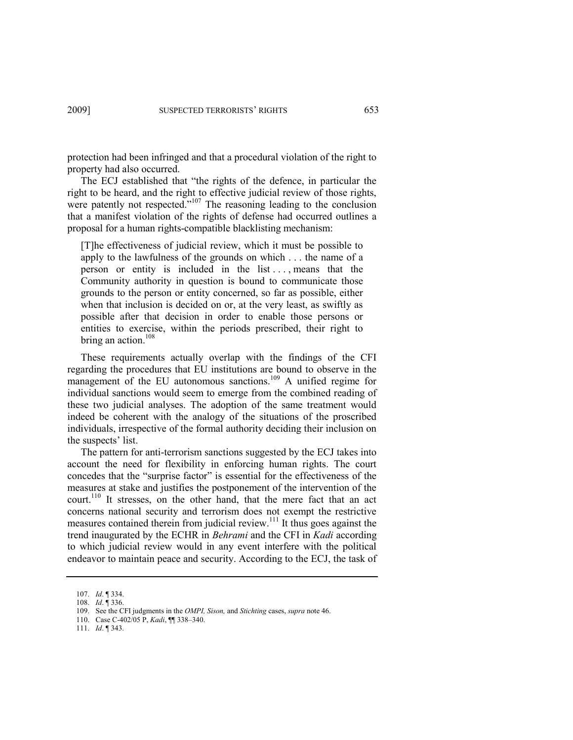protection had been infringed and that a procedural violation of the right to property had also occurred.

The ECJ established that "the rights of the defence, in particular the right to be heard, and the right to effective judicial review of those rights, were patently not respected." $107$  The reasoning leading to the conclusion that a manifest violation of the rights of defense had occurred outlines a proposal for a human rights-compatible blacklisting mechanism:

[T]he effectiveness of judicial review, which it must be possible to apply to the lawfulness of the grounds on which . . . the name of a person or entity is included in the list . . . , means that the Community authority in question is bound to communicate those grounds to the person or entity concerned, so far as possible, either when that inclusion is decided on or, at the very least, as swiftly as possible after that decision in order to enable those persons or entities to exercise, within the periods prescribed, their right to bring an action.<sup>108</sup>

These requirements actually overlap with the findings of the CFI regarding the procedures that EU institutions are bound to observe in the management of the EU autonomous sanctions.<sup>109</sup> A unified regime for individual sanctions would seem to emerge from the combined reading of these two judicial analyses. The adoption of the same treatment would indeed be coherent with the analogy of the situations of the proscribed individuals, irrespective of the formal authority deciding their inclusion on the suspects' list.

The pattern for anti-terrorism sanctions suggested by the ECJ takes into account the need for flexibility in enforcing human rights. The court concedes that the "surprise factor" is essential for the effectiveness of the measures at stake and justifies the postponement of the intervention of the court.<sup>110</sup> It stresses, on the other hand, that the mere fact that an act concerns national security and terrorism does not exempt the restrictive measures contained therein from judicial review.<sup>111</sup> It thus goes against the trend inaugurated by the ECHR in *Behrami* and the CFI in *Kadi* according to which judicial review would in any event interfere with the political endeavor to maintain peace and security. According to the ECJ, the task of

<sup>107.</sup> *Id*. ¶ 334.

<sup>108.</sup> *Id*. ¶ 336.

<sup>109.</sup> See the CFI judgments in the *OMPI, Sison,* and *Stichting* cases, *supra* not[e 46.](#page-14-0)

<sup>110.</sup> Case C-402/05 P, *Kadi*, ¶¶ 338–340.

<sup>111.</sup> *Id*. ¶ 343.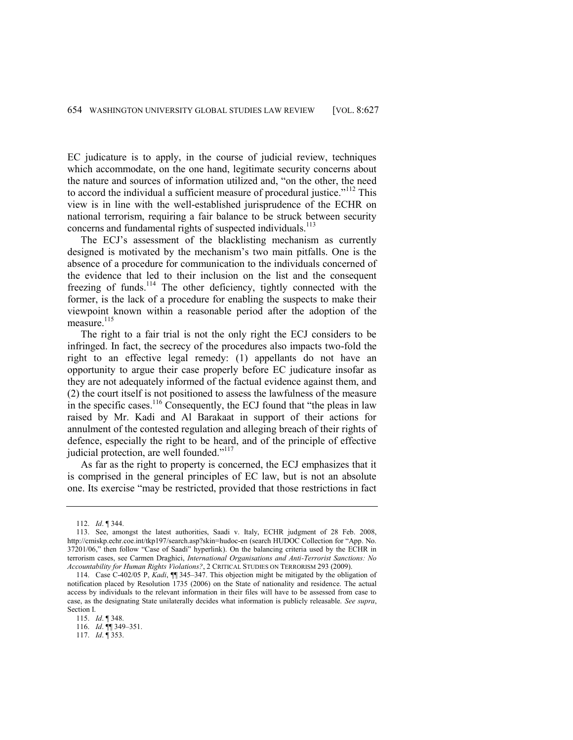EC judicature is to apply, in the course of judicial review, techniques which accommodate, on the one hand, legitimate security concerns about the nature and sources of information utilized and, "on the other, the need to accord the individual a sufficient measure of procedural justice.<sup> $112$ </sup> This view is in line with the well-established jurisprudence of the ECHR on national terrorism, requiring a fair balance to be struck between security concerns and fundamental rights of suspected individuals.<sup>113</sup>

The ECJ's assessment of the blacklisting mechanism as currently designed is motivated by the mechanism's two main pitfalls. One is the absence of a procedure for communication to the individuals concerned of the evidence that led to their inclusion on the list and the consequent freezing of funds.<sup>114</sup> The other deficiency, tightly connected with the former, is the lack of a procedure for enabling the suspects to make their viewpoint known within a reasonable period after the adoption of the measure.<sup>115</sup>

The right to a fair trial is not the only right the ECJ considers to be infringed. In fact, the secrecy of the procedures also impacts two-fold the right to an effective legal remedy: (1) appellants do not have an opportunity to argue their case properly before EC judicature insofar as they are not adequately informed of the factual evidence against them, and (2) the court itself is not positioned to assess the lawfulness of the measure in the specific cases.<sup>116</sup> Consequently, the ECJ found that "the pleas in law raised by Mr. Kadi and Al Barakaat in support of their actions for annulment of the contested regulation and alleging breach of their rights of defence, especially the right to be heard, and of the principle of effective judicial protection, are well founded."<sup>117</sup>

As far as the right to property is concerned, the ECJ emphasizes that it is comprised in the general principles of EC law, but is not an absolute one. Its exercise "may be restricted, provided that those restrictions in fact

116. *Id*. ¶¶ 349–351.

<sup>112.</sup> *Id*. ¶ 344.

<sup>113.</sup> See, amongst the latest authorities, Saadi v. Italy, ECHR judgment of 28 Feb. 2008, http://cmiskp.echr.coe.int/tkp197/search.asp?skin=hudoc-en (search HUDOC Collection for "App. No. 37201/06," then follow "Case of Saadi" hyperlink). On the balancing criteria used by the ECHR in terrorism cases, see Carmen Draghici, *International Organisations and Anti-Terrorist Sanctions: No Accountability for Human Rights Violations?*, 2 CRITICAL STUDIES ON TERRORISM 293 (2009).

<sup>114.</sup> Case C-402/05 P, *Kadi*, ¶¶ 345–347. This objection might be mitigated by the obligation of notification placed by Resolution 1735 (2006) on the State of nationality and residence. The actual access by individuals to the relevant information in their files will have to be assessed from case to case, as the designating State unilaterally decides what information is publicly releasable. *See supra*, Section I.

<sup>115.</sup> *Id*. ¶ 348.

<sup>117.</sup> *Id*. ¶ 353.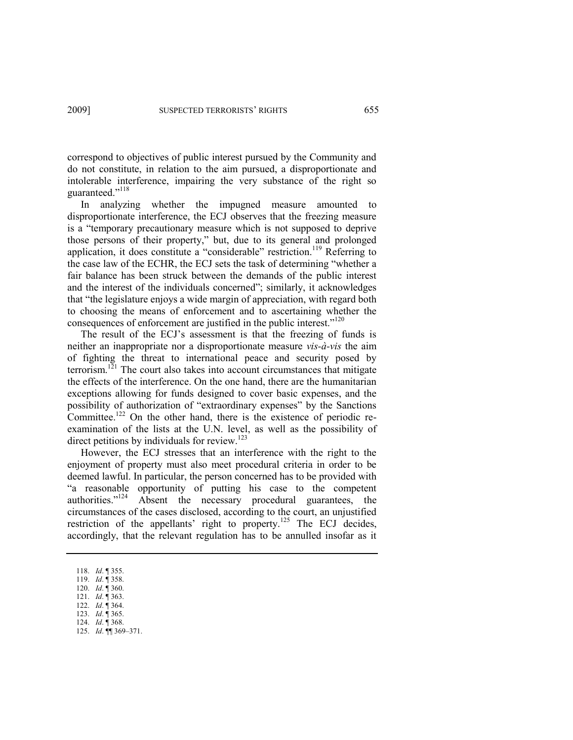correspond to objectives of public interest pursued by the Community and do not constitute, in relation to the aim pursued, a disproportionate and intolerable interference, impairing the very substance of the right so guaranteed."<sup>118</sup>

In analyzing whether the impugned measure amounted to disproportionate interference, the ECJ observes that the freezing measure is a "temporary precautionary measure which is not supposed to deprive those persons of their property," but, due to its general and prolonged application, it does constitute a "considerable" restriction.<sup>119</sup> Referring to the case law of the ECHR, the ECJ sets the task of determining "whether a fair balance has been struck between the demands of the public interest and the interest of the individuals concerned"; similarly, it acknowledges that "the legislature enjoys a wide margin of appreciation, with regard both to choosing the means of enforcement and to ascertaining whether the consequences of enforcement are justified in the public interest."<sup>120</sup>

The result of the ECJ's assessment is that the freezing of funds is neither an inappropriate nor a disproportionate measure *vis-à-vis* the aim of fighting the threat to international peace and security posed by terrorism.<sup>121</sup> The court also takes into account circumstances that mitigate the effects of the interference. On the one hand, there are the humanitarian exceptions allowing for funds designed to cover basic expenses, and the possibility of authorization of "extraordinary expenses" by the Sanctions Committee.<sup>122</sup> On the other hand, there is the existence of periodic reexamination of the lists at the U.N. level, as well as the possibility of direct petitions by individuals for review.<sup>123</sup>

However, the ECJ stresses that an interference with the right to the enjoyment of property must also meet procedural criteria in order to be deemed lawful. In particular, the person concerned has to be provided with "a reasonable opportunity of putting his case to the competent authorities." $124$  Absent the necessary procedural guarantees, the Absent the necessary procedural guarantees, the circumstances of the cases disclosed, according to the court, an unjustified restriction of the appellants' right to property.<sup>125</sup> The ECJ decides, accordingly, that the relevant regulation has to be annulled insofar as it

<sup>118.</sup> *Id*. ¶ 355.

<sup>119.</sup> *Id*. ¶ 358.

<sup>120.</sup> *Id*. ¶ 360.

<sup>121.</sup> *Id*. ¶ 363. 122. *Id*. ¶ 364.

<sup>123.</sup> *Id*. ¶ 365.

<sup>124.</sup> *Id*. ¶ 368.

<sup>125.</sup> *Id*. ¶¶ 369–371.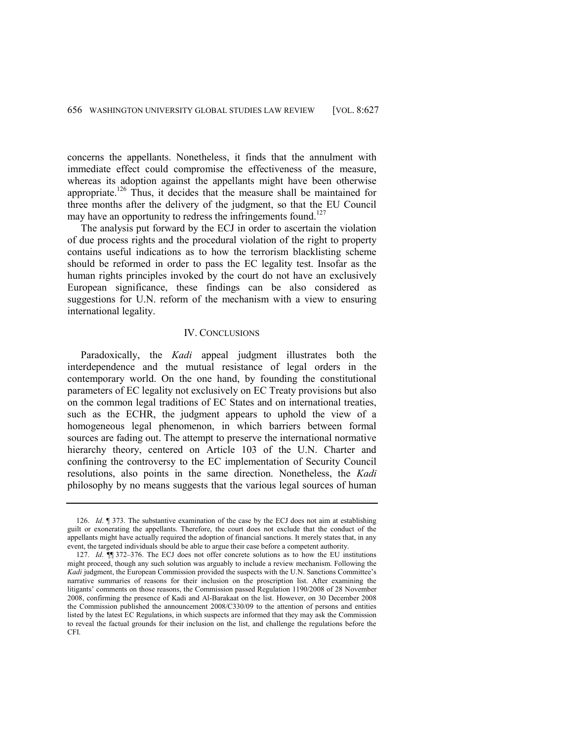concerns the appellants. Nonetheless, it finds that the annulment with immediate effect could compromise the effectiveness of the measure, whereas its adoption against the appellants might have been otherwise appropriate.<sup>126</sup> Thus, it decides that the measure shall be maintained for three months after the delivery of the judgment, so that the EU Council may have an opportunity to redress the infringements found.<sup>127</sup>

The analysis put forward by the ECJ in order to ascertain the violation of due process rights and the procedural violation of the right to property contains useful indications as to how the terrorism blacklisting scheme should be reformed in order to pass the EC legality test. Insofar as the human rights principles invoked by the court do not have an exclusively European significance, these findings can be also considered as suggestions for U.N. reform of the mechanism with a view to ensuring international legality.

#### IV. CONCLUSIONS

Paradoxically, the *Kadi* appeal judgment illustrates both the interdependence and the mutual resistance of legal orders in the contemporary world. On the one hand, by founding the constitutional parameters of EC legality not exclusively on EC Treaty provisions but also on the common legal traditions of EC States and on international treaties, such as the ECHR, the judgment appears to uphold the view of a homogeneous legal phenomenon, in which barriers between formal sources are fading out. The attempt to preserve the international normative hierarchy theory, centered on Article 103 of the U.N. Charter and confining the controversy to the EC implementation of Security Council resolutions, also points in the same direction. Nonetheless, the *Kadi* philosophy by no means suggests that the various legal sources of human

<sup>126.</sup> *Id*. ¶ 373. The substantive examination of the case by the ECJ does not aim at establishing guilt or exonerating the appellants. Therefore, the court does not exclude that the conduct of the appellants might have actually required the adoption of financial sanctions. It merely states that, in any event, the targeted individuals should be able to argue their case before a competent authority.

<sup>127.</sup> *Id*. ¶¶ 372–376. The ECJ does not offer concrete solutions as to how the EU institutions might proceed, though any such solution was arguably to include a review mechanism. Following the *Kadi* judgment, the European Commission provided the suspects with the U.N. Sanctions Committee's narrative summaries of reasons for their inclusion on the proscription list. After examining the litigants' comments on those reasons, the Commission passed Regulation 1190/2008 of 28 November 2008, confirming the presence of Kadi and Al-Barakaat on the list. However, on 30 December 2008 the Commission published the announcement 2008/C330/09 to the attention of persons and entities listed by the latest EC Regulations, in which suspects are informed that they may ask the Commission to reveal the factual grounds for their inclusion on the list, and challenge the regulations before the CFI.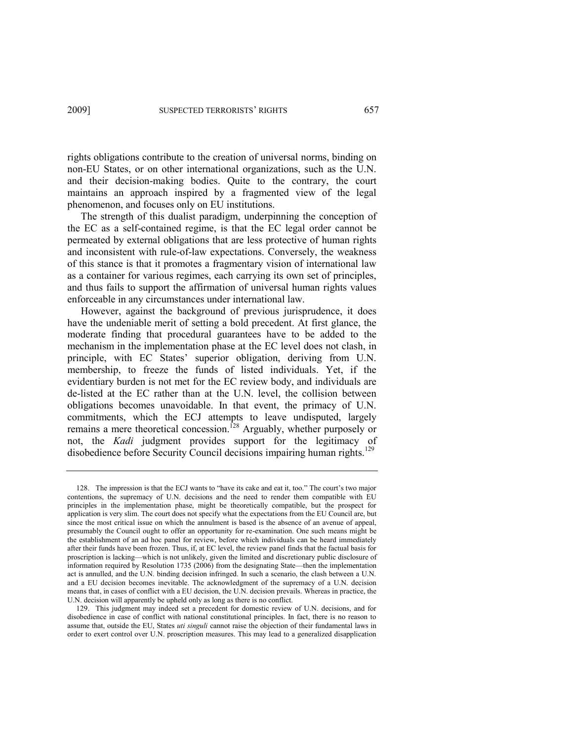rights obligations contribute to the creation of universal norms, binding on non-EU States, or on other international organizations, such as the U.N. and their decision-making bodies. Quite to the contrary, the court maintains an approach inspired by a fragmented view of the legal phenomenon, and focuses only on EU institutions.

The strength of this dualist paradigm, underpinning the conception of the EC as a self-contained regime, is that the EC legal order cannot be permeated by external obligations that are less protective of human rights and inconsistent with rule-of-law expectations. Conversely, the weakness of this stance is that it promotes a fragmentary vision of international law as a container for various regimes, each carrying its own set of principles, and thus fails to support the affirmation of universal human rights values enforceable in any circumstances under international law.

However, against the background of previous jurisprudence, it does have the undeniable merit of setting a bold precedent. At first glance, the moderate finding that procedural guarantees have to be added to the mechanism in the implementation phase at the EC level does not clash, in principle, with EC States' superior obligation, deriving from U.N. membership, to freeze the funds of listed individuals. Yet, if the evidentiary burden is not met for the EC review body, and individuals are de-listed at the EC rather than at the U.N. level, the collision between obligations becomes unavoidable. In that event, the primacy of U.N. commitments, which the ECJ attempts to leave undisputed, largely remains a mere theoretical concession.<sup>128</sup> Arguably, whether purposely or not, the *Kadi* judgment provides support for the legitimacy of disobedience before Security Council decisions impairing human rights.<sup>129</sup>

<sup>128.</sup> The impression is that the ECJ wants to "have its cake and eat it, too." The court's two major contentions, the supremacy of U.N. decisions and the need to render them compatible with EU principles in the implementation phase, might be theoretically compatible, but the prospect for application is very slim. The court does not specify what the expectations from the EU Council are, but since the most critical issue on which the annulment is based is the absence of an avenue of appeal, presumably the Council ought to offer an opportunity for re-examination. One such means might be the establishment of an ad hoc panel for review, before which individuals can be heard immediately after their funds have been frozen. Thus, if, at EC level, the review panel finds that the factual basis for proscription is lacking—which is not unlikely, given the limited and discretionary public disclosure of information required by Resolution 1735 (2006) from the designating State—then the implementation act is annulled, and the U.N. binding decision infringed. In such a scenario, the clash between a U.N. and a EU decision becomes inevitable. The acknowledgment of the supremacy of a U.N. decision means that, in cases of conflict with a EU decision, the U.N. decision prevails. Whereas in practice, the U.N. decision will apparently be upheld only as long as there is no conflict.

<sup>129.</sup> This judgment may indeed set a precedent for domestic review of U.N. decisions, and for disobedience in case of conflict with national constitutional principles. In fact, there is no reason to assume that, outside the EU, States *uti singuli* cannot raise the objection of their fundamental laws in order to exert control over U.N. proscription measures. This may lead to a generalized disapplication